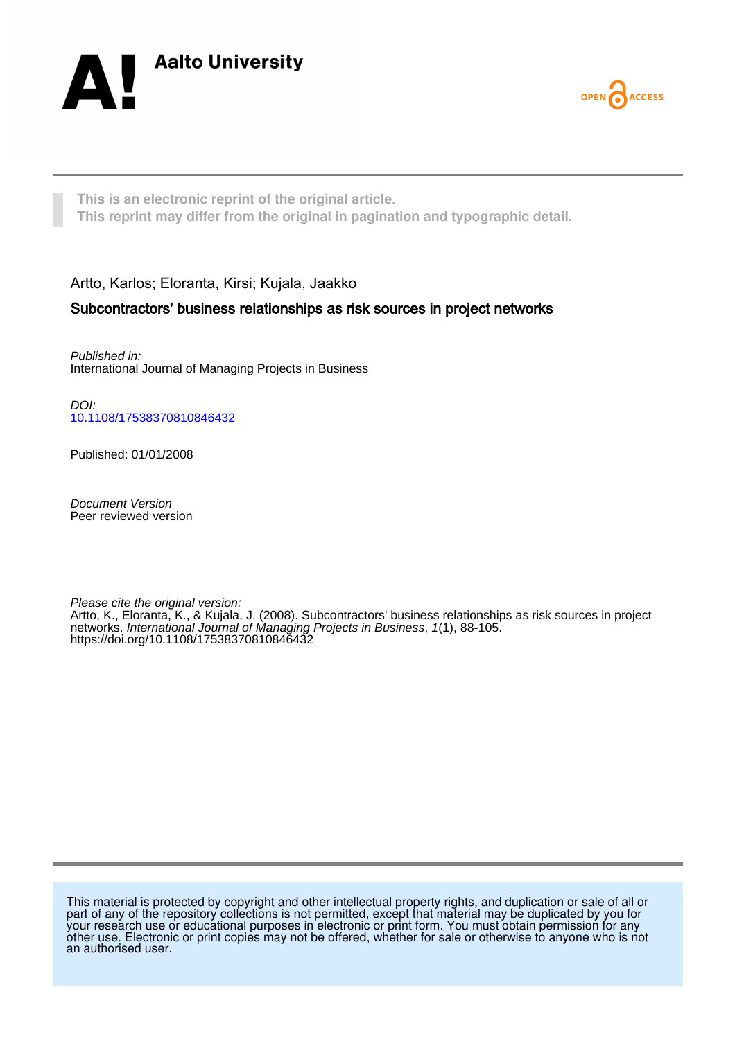



**This is an electronic reprint of the original article. This reprint may differ from the original in pagination and typographic detail.**

Artto, Karlos; Eloranta, Kirsi; Kujala, Jaakko

### Subcontractors' business relationships as risk sources in project networks

Published in: International Journal of Managing Projects in Business

DOI: [10.1108/17538370810846432](https://doi.org/10.1108/17538370810846432)

Published: 01/01/2008

Document Version Peer reviewed version

Please cite the original version:

Artto, K., Eloranta, K., & Kujala, J. (2008). Subcontractors' business relationships as risk sources in project networks. International Journal of Managing Projects in Business, 1(1), 88-105. <https://doi.org/10.1108/17538370810846432>

This material is protected by copyright and other intellectual property rights, and duplication or sale of all or part of any of the repository collections is not permitted, except that material may be duplicated by you for your research use or educational purposes in electronic or print form. You must obtain permission for any other use. Electronic or print copies may not be offered, whether for sale or otherwise to anyone who is not an authorised user.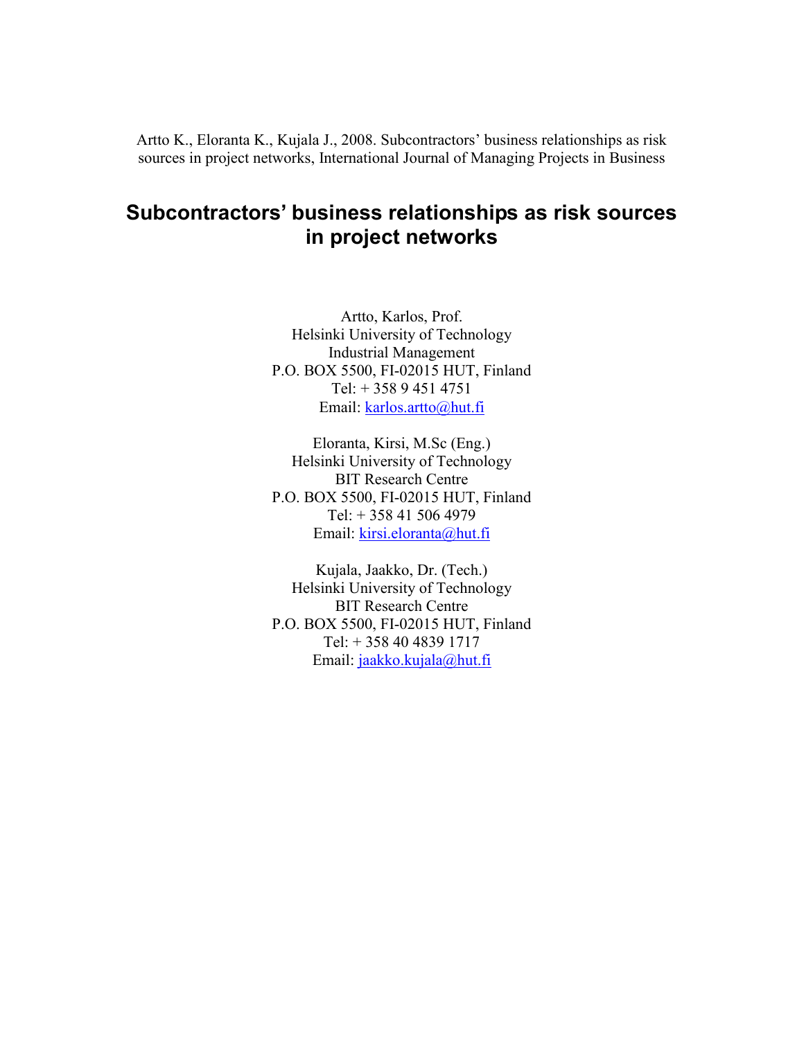Artto K., Eloranta K., Kujala J., 2008. Subcontractors' business relationships as risk sources in project networks, International Journal of Managing Projects in Business

# **Subcontractors' business relationships as risk sources in project networks**

Artto, Karlos, Prof. Helsinki University of Technology Industrial Management P.O. BOX 5500, FI-02015 HUT, Finland Tel: + 358 9 451 4751 Email: [karlos.artto@hut.fi](mailto:karlos.artto@hut.fi)

Eloranta, Kirsi, M.Sc (Eng.) Helsinki University of Technology BIT Research Centre P.O. BOX 5500, FI-02015 HUT, Finland Tel: + 358 41 506 4979 Email: [kirsi.eloranta@hut.fi](mailto:kirsi.eloranta@hut.fi)

Kujala, Jaakko, Dr. (Tech.) Helsinki University of Technology BIT Research Centre P.O. BOX 5500, FI-02015 HUT, Finland Tel: + 358 40 4839 1717 Email: [jaakko.kujala@hut.fi](mailto:jaakko.kujala@hut.fi)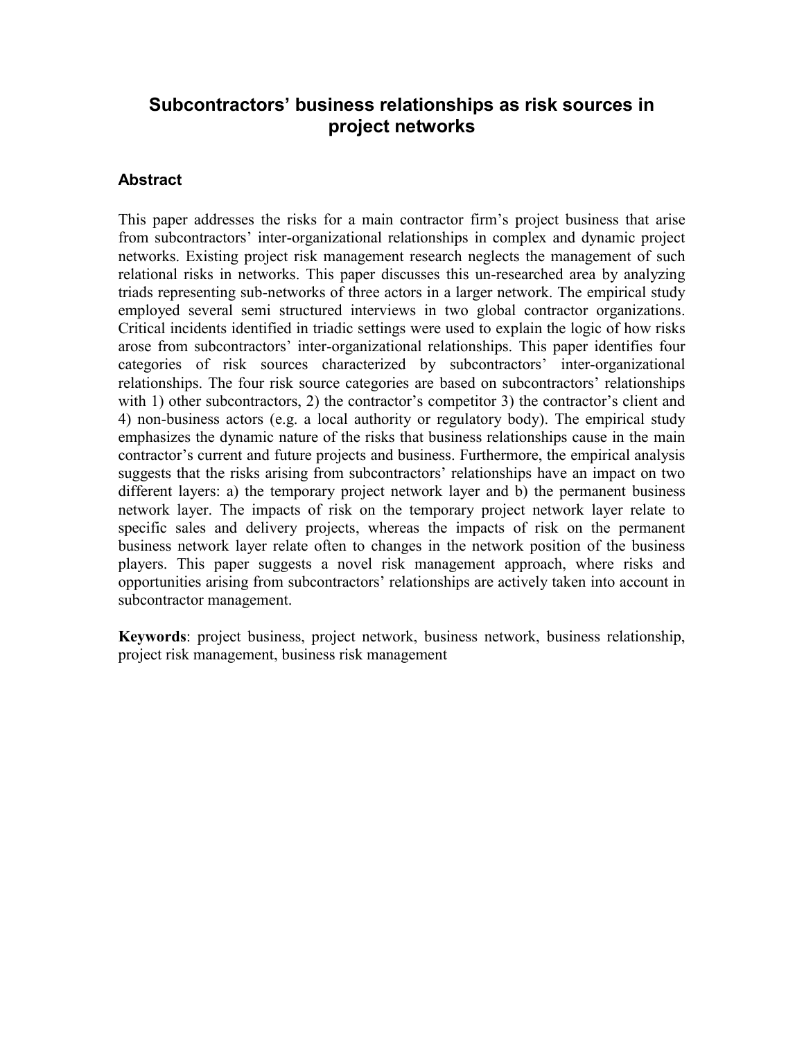## **Subcontractors' business relationships as risk sources in project networks**

### **Abstract**

This paper addresses the risks for a main contractor firm's project business that arise from subcontractors' inter-organizational relationships in complex and dynamic project networks. Existing project risk management research neglects the management of such relational risks in networks. This paper discusses this un-researched area by analyzing triads representing sub-networks of three actors in a larger network. The empirical study employed several semi structured interviews in two global contractor organizations. Critical incidents identified in triadic settings were used to explain the logic of how risks arose from subcontractors' inter-organizational relationships. This paper identifies four categories of risk sources characterized by subcontractors' inter-organizational relationships. The four risk source categories are based on subcontractors' relationships with 1) other subcontractors, 2) the contractor's competitor 3) the contractor's client and 4) non-business actors (e.g. a local authority or regulatory body). The empirical study emphasizes the dynamic nature of the risks that business relationships cause in the main contractor's current and future projects and business. Furthermore, the empirical analysis suggests that the risks arising from subcontractors' relationships have an impact on two different layers: a) the temporary project network layer and b) the permanent business network layer. The impacts of risk on the temporary project network layer relate to specific sales and delivery projects, whereas the impacts of risk on the permanent business network layer relate often to changes in the network position of the business players. This paper suggests a novel risk management approach, where risks and opportunities arising from subcontractors' relationships are actively taken into account in subcontractor management.

**Keywords**: project business, project network, business network, business relationship, project risk management, business risk management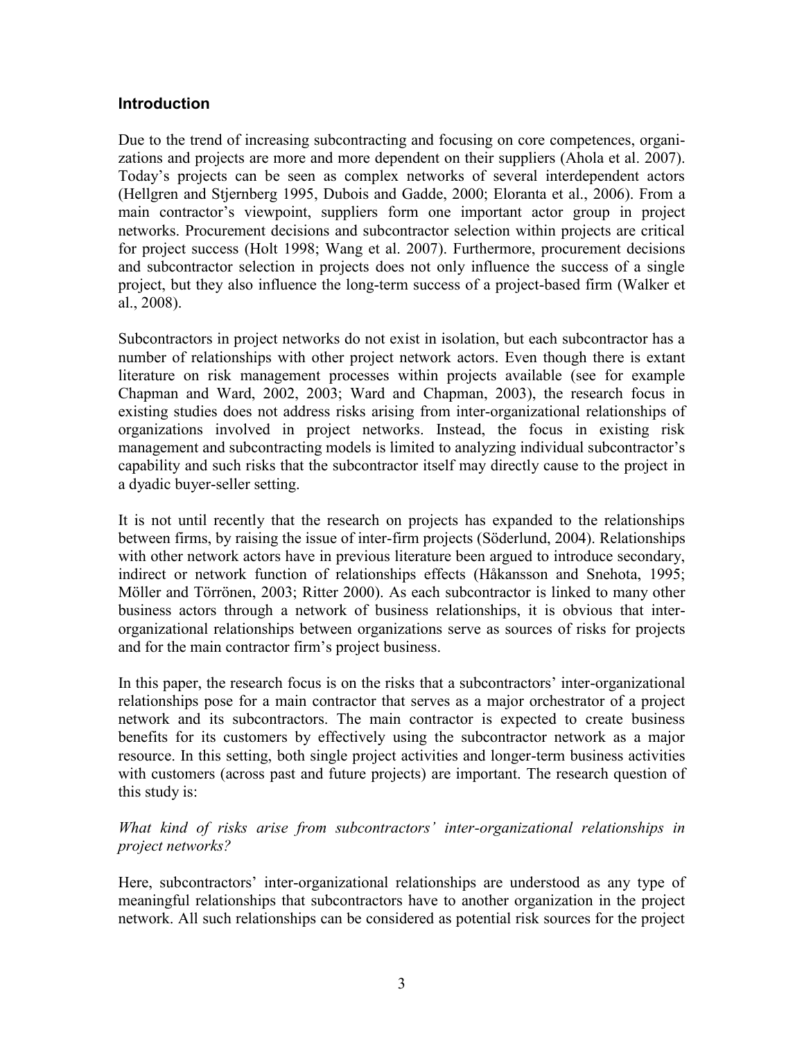### **Introduction**

Due to the trend of increasing subcontracting and focusing on core competences, organizations and projects are more and more dependent on their suppliers (Ahola et al. 2007). Today's projects can be seen as complex networks of several interdependent actors (Hellgren and Stjernberg 1995, Dubois and Gadde, 2000; Eloranta et al., 2006). From a main contractor's viewpoint, suppliers form one important actor group in project networks. Procurement decisions and subcontractor selection within projects are critical for project success (Holt 1998; Wang et al. 2007). Furthermore, procurement decisions and subcontractor selection in projects does not only influence the success of a single project, but they also influence the long-term success of a project-based firm (Walker et al., 2008).

Subcontractors in project networks do not exist in isolation, but each subcontractor has a number of relationships with other project network actors. Even though there is extant literature on risk management processes within projects available (see for example Chapman and Ward, 2002, 2003; Ward and Chapman, 2003), the research focus in existing studies does not address risks arising from inter-organizational relationships of organizations involved in project networks. Instead, the focus in existing risk management and subcontracting models is limited to analyzing individual subcontractor's capability and such risks that the subcontractor itself may directly cause to the project in a dyadic buyer-seller setting.

It is not until recently that the research on projects has expanded to the relationships between firms, by raising the issue of inter-firm projects (Söderlund, 2004). Relationships with other network actors have in previous literature been argued to introduce secondary, indirect or network function of relationships effects (Håkansson and Snehota, 1995; Möller and Törrönen, 2003; Ritter 2000). As each subcontractor is linked to many other business actors through a network of business relationships, it is obvious that interorganizational relationships between organizations serve as sources of risks for projects and for the main contractor firm's project business.

In this paper, the research focus is on the risks that a subcontractors' inter-organizational relationships pose for a main contractor that serves as a major orchestrator of a project network and its subcontractors. The main contractor is expected to create business benefits for its customers by effectively using the subcontractor network as a major resource. In this setting, both single project activities and longer-term business activities with customers (across past and future projects) are important. The research question of this study is:

### *What kind of risks arise from subcontractors' inter-organizational relationships in project networks?*

Here, subcontractors' inter-organizational relationships are understood as any type of meaningful relationships that subcontractors have to another organization in the project network. All such relationships can be considered as potential risk sources for the project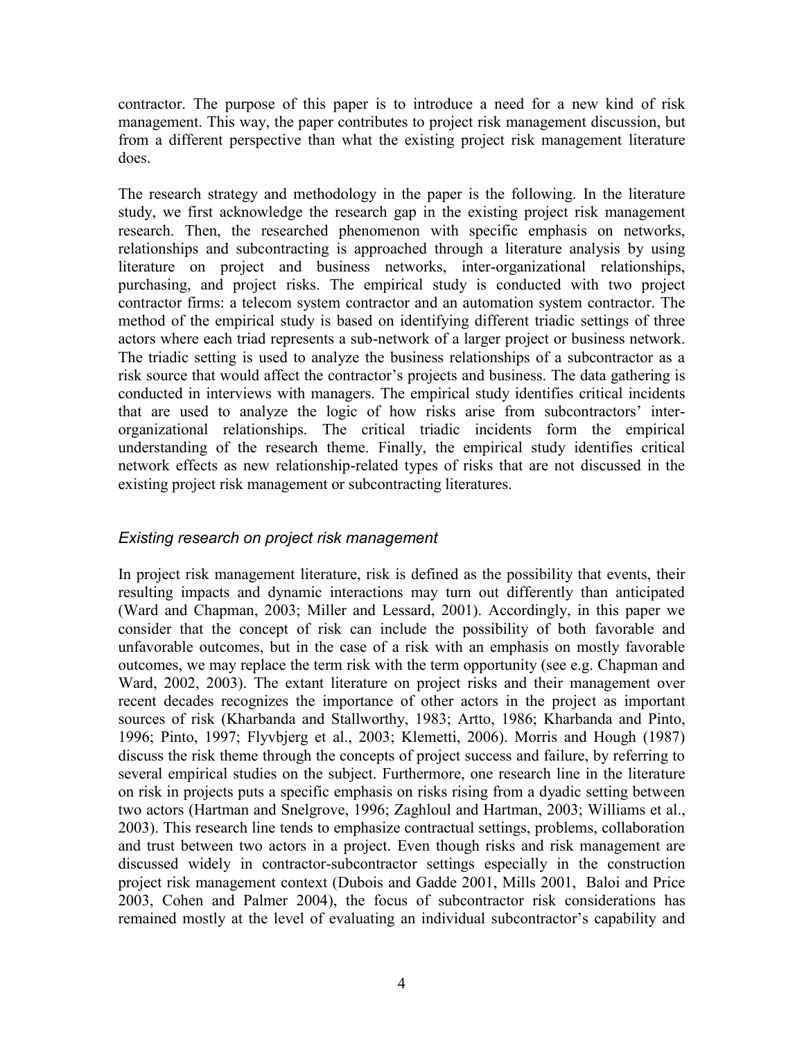contractor. The purpose of this paper is to introduce a need for a new kind of risk management. This way, the paper contributes to project risk management discussion, but from a different perspective than what the existing project risk management literature does.

The research strategy and methodology in the paper is the following. In the literature study, we first acknowledge the research gap in the existing project risk management research. Then, the researched phenomenon with specific emphasis on networks, relationships and subcontracting is approached through a literature analysis by using literature on project and business networks, inter-organizational relationships, purchasing, and project risks. The empirical study is conducted with two project contractor firms: a telecom system contractor and an automation system contractor. The method of the empirical study is based on identifying different triadic settings of three actors where each triad represents a sub-network of a larger project or business network. The triadic setting is used to analyze the business relationships of a subcontractor as a risk source that would affect the contractor's projects and business. The data gathering is conducted in interviews with managers. The empirical study identifies critical incidents that are used to analyze the logic of how risks arise from subcontractors' interorganizational relationships. The critical triadic incidents form the empirical understanding of the research theme. Finally, the empirical study identifies critical network effects as new relationship-related types of risks that are not discussed in the existing project risk management or subcontracting literatures.

#### *Existing research on project risk management*

In project risk management literature, risk is defined as the possibility that events, their resulting impacts and dynamic interactions may turn out differently than anticipated (Ward and Chapman, 2003; Miller and Lessard, 2001). Accordingly, in this paper we consider that the concept of risk can include the possibility of both favorable and unfavorable outcomes, but in the case of a risk with an emphasis on mostly favorable outcomes, we may replace the term risk with the term opportunity (see e.g. Chapman and Ward, 2002, 2003). The extant literature on project risks and their management over recent decades recognizes the importance of other actors in the project as important sources of risk (Kharbanda and Stallworthy, 1983; Artto, 1986; Kharbanda and Pinto, 1996; Pinto, 1997; Flyvbjerg et al., 2003; Klemetti, 2006). Morris and Hough (1987) discuss the risk theme through the concepts of project success and failure, by referring to several empirical studies on the subject. Furthermore, one research line in the literature on risk in projects puts a specific emphasis on risks rising from a dyadic setting between two actors (Hartman and Snelgrove, 1996; Zaghloul and Hartman, 2003; Williams et al., 2003). This research line tends to emphasize contractual settings, problems, collaboration and trust between two actors in a project. Even though risks and risk management are discussed widely in contractor-subcontractor settings especially in the construction project risk management context (Dubois and Gadde 2001, Mills 2001, Baloi and Price 2003, Cohen and Palmer 2004), the focus of subcontractor risk considerations has remained mostly at the level of evaluating an individual subcontractor's capability and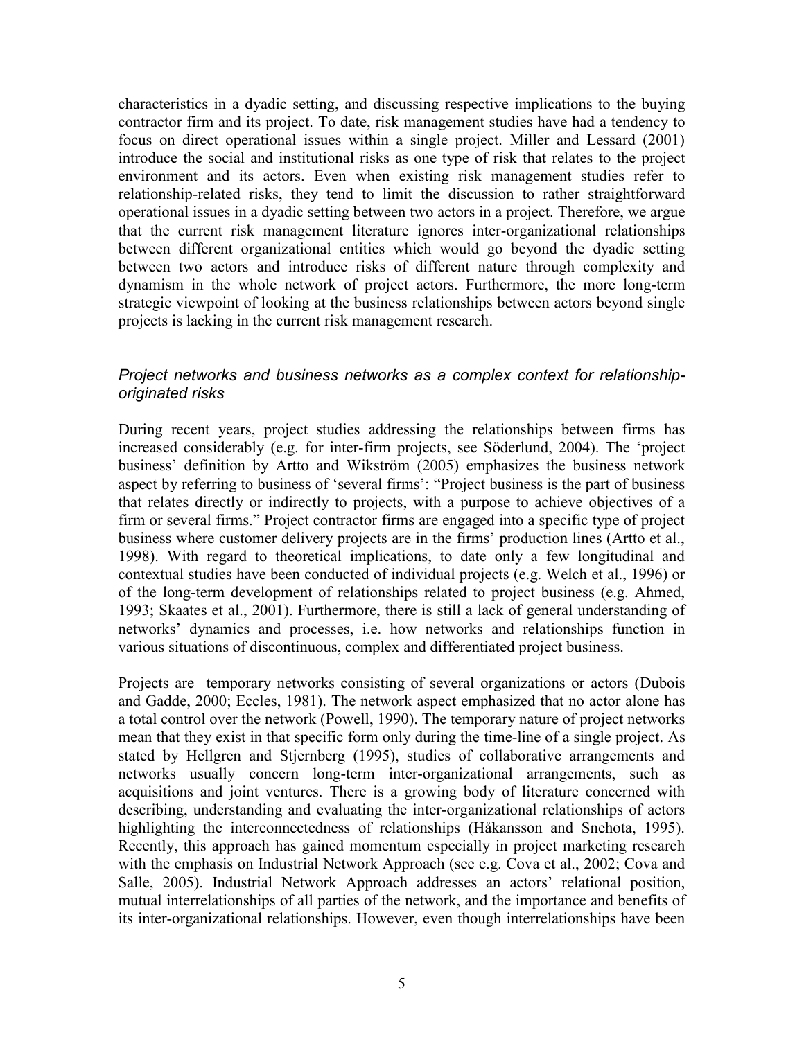characteristics in a dyadic setting, and discussing respective implications to the buying contractor firm and its project. To date, risk management studies have had a tendency to focus on direct operational issues within a single project. Miller and Lessard (2001) introduce the social and institutional risks as one type of risk that relates to the project environment and its actors. Even when existing risk management studies refer to relationship-related risks, they tend to limit the discussion to rather straightforward operational issues in a dyadic setting between two actors in a project. Therefore, we argue that the current risk management literature ignores inter-organizational relationships between different organizational entities which would go beyond the dyadic setting between two actors and introduce risks of different nature through complexity and dynamism in the whole network of project actors. Furthermore, the more long-term strategic viewpoint of looking at the business relationships between actors beyond single projects is lacking in the current risk management research.

### *Project networks and business networks as a complex context for relationshiporiginated risks*

During recent years, project studies addressing the relationships between firms has increased considerably (e.g. for inter-firm projects, see Söderlund, 2004). The 'project business' definition by Artto and Wikström (2005) emphasizes the business network aspect by referring to business of 'several firms': "Project business is the part of business that relates directly or indirectly to projects, with a purpose to achieve objectives of a firm or several firms." Project contractor firms are engaged into a specific type of project business where customer delivery projects are in the firms' production lines (Artto et al., 1998). With regard to theoretical implications, to date only a few longitudinal and contextual studies have been conducted of individual projects (e.g. Welch et al., 1996) or of the long-term development of relationships related to project business (e.g. Ahmed, 1993; Skaates et al., 2001). Furthermore, there is still a lack of general understanding of networks' dynamics and processes, i.e. how networks and relationships function in various situations of discontinuous, complex and differentiated project business.

Projects are temporary networks consisting of several organizations or actors (Dubois and Gadde, 2000; Eccles, 1981). The network aspect emphasized that no actor alone has a total control over the network (Powell, 1990). The temporary nature of project networks mean that they exist in that specific form only during the time-line of a single project. As stated by Hellgren and Stjernberg (1995), studies of collaborative arrangements and networks usually concern long-term inter-organizational arrangements, such as acquisitions and joint ventures. There is a growing body of literature concerned with describing, understanding and evaluating the inter-organizational relationships of actors highlighting the interconnectedness of relationships (Håkansson and Snehota, 1995). Recently, this approach has gained momentum especially in project marketing research with the emphasis on Industrial Network Approach (see e.g. Cova et al., 2002; Cova and Salle, 2005). Industrial Network Approach addresses an actors' relational position, mutual interrelationships of all parties of the network, and the importance and benefits of its inter-organizational relationships. However, even though interrelationships have been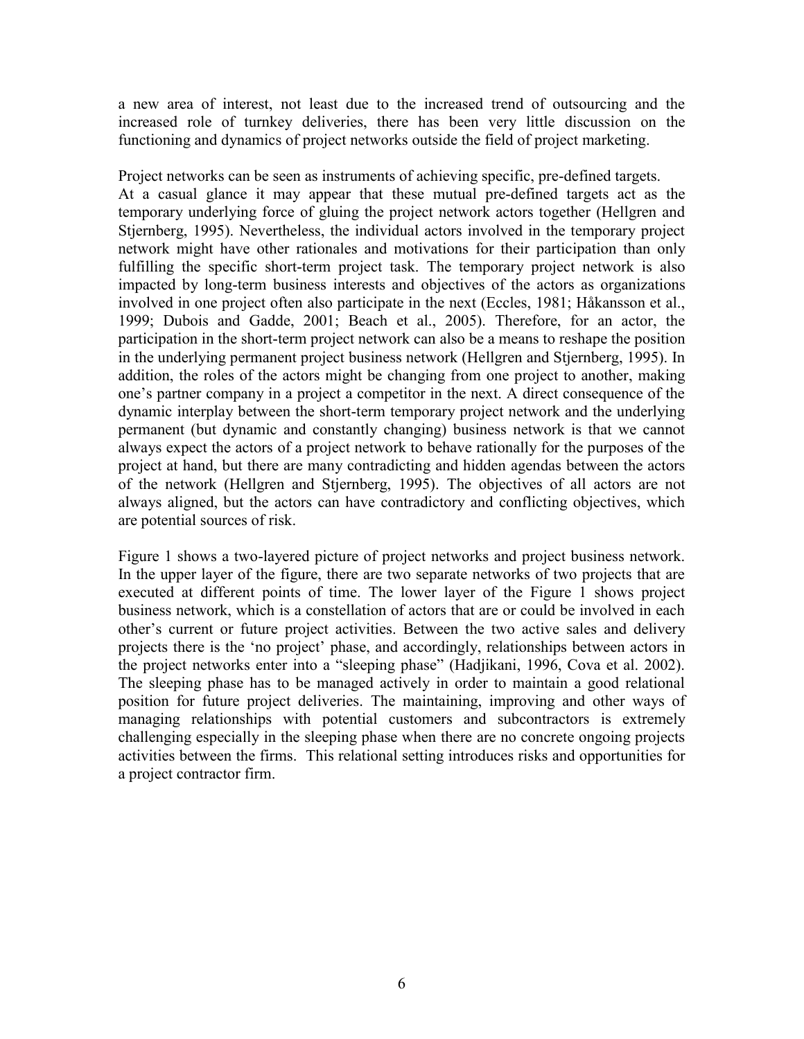a new area of interest, not least due to the increased trend of outsourcing and the increased role of turnkey deliveries, there has been very little discussion on the functioning and dynamics of project networks outside the field of project marketing.

Project networks can be seen as instruments of achieving specific, pre-defined targets. At a casual glance it may appear that these mutual pre-defined targets act as the temporary underlying force of gluing the project network actors together (Hellgren and Stjernberg, 1995). Nevertheless, the individual actors involved in the temporary project network might have other rationales and motivations for their participation than only fulfilling the specific short-term project task. The temporary project network is also impacted by long-term business interests and objectives of the actors as organizations involved in one project often also participate in the next (Eccles, 1981; Håkansson et al., 1999; Dubois and Gadde, 2001; Beach et al., 2005). Therefore, for an actor, the participation in the short-term project network can also be a means to reshape the position in the underlying permanent project business network (Hellgren and Stjernberg, 1995). In addition, the roles of the actors might be changing from one project to another, making one's partner company in a project a competitor in the next. A direct consequence of the dynamic interplay between the short-term temporary project network and the underlying permanent (but dynamic and constantly changing) business network is that we cannot always expect the actors of a project network to behave rationally for the purposes of the project at hand, but there are many contradicting and hidden agendas between the actors of the network (Hellgren and Stjernberg, 1995). The objectives of all actors are not always aligned, but the actors can have contradictory and conflicting objectives, which are potential sources of risk.

Figure 1 shows a two-layered picture of project networks and project business network. In the upper layer of the figure, there are two separate networks of two projects that are executed at different points of time. The lower layer of the Figure 1 shows project business network, which is a constellation of actors that are or could be involved in each other's current or future project activities. Between the two active sales and delivery projects there is the 'no project' phase, and accordingly, relationships between actors in the project networks enter into a "sleeping phase" (Hadjikani, 1996, Cova et al. 2002). The sleeping phase has to be managed actively in order to maintain a good relational position for future project deliveries. The maintaining, improving and other ways of managing relationships with potential customers and subcontractors is extremely challenging especially in the sleeping phase when there are no concrete ongoing projects activities between the firms. This relational setting introduces risks and opportunities for a project contractor firm.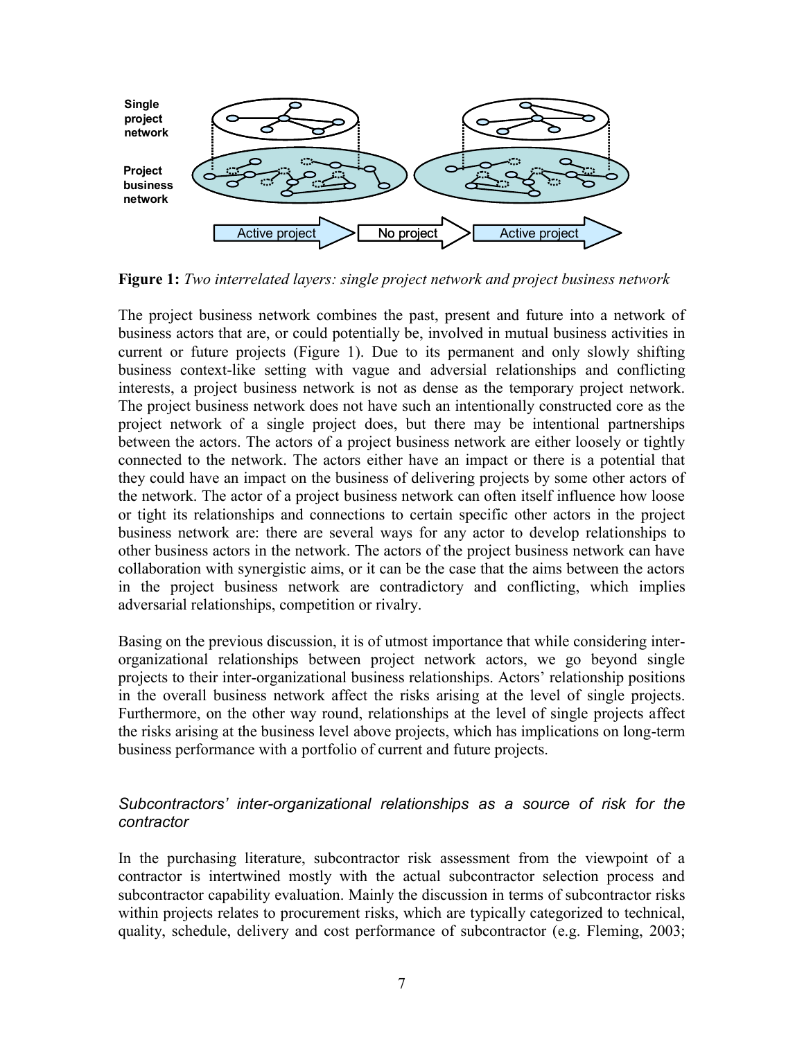

**Figure 1:** *Two interrelated layers: single project network and project business network*

The project business network combines the past, present and future into a network of business actors that are, or could potentially be, involved in mutual business activities in current or future projects (Figure 1). Due to its permanent and only slowly shifting business context-like setting with vague and adversial relationships and conflicting interests, a project business network is not as dense as the temporary project network. The project business network does not have such an intentionally constructed core as the project network of a single project does, but there may be intentional partnerships between the actors. The actors of a project business network are either loosely or tightly connected to the network. The actors either have an impact or there is a potential that they could have an impact on the business of delivering projects by some other actors of the network. The actor of a project business network can often itself influence how loose or tight its relationships and connections to certain specific other actors in the project business network are: there are several ways for any actor to develop relationships to other business actors in the network. The actors of the project business network can have collaboration with synergistic aims, or it can be the case that the aims between the actors in the project business network are contradictory and conflicting, which implies adversarial relationships, competition or rivalry.

Basing on the previous discussion, it is of utmost importance that while considering interorganizational relationships between project network actors, we go beyond single projects to their inter-organizational business relationships. Actors' relationship positions in the overall business network affect the risks arising at the level of single projects. Furthermore, on the other way round, relationships at the level of single projects affect the risks arising at the business level above projects, which has implications on long-term business performance with a portfolio of current and future projects.

### *Subcontractors' inter-organizational relationships as a source of risk for the contractor*

In the purchasing literature, subcontractor risk assessment from the viewpoint of a contractor is intertwined mostly with the actual subcontractor selection process and subcontractor capability evaluation. Mainly the discussion in terms of subcontractor risks within projects relates to procurement risks, which are typically categorized to technical, quality, schedule, delivery and cost performance of subcontractor (e.g. Fleming, 2003;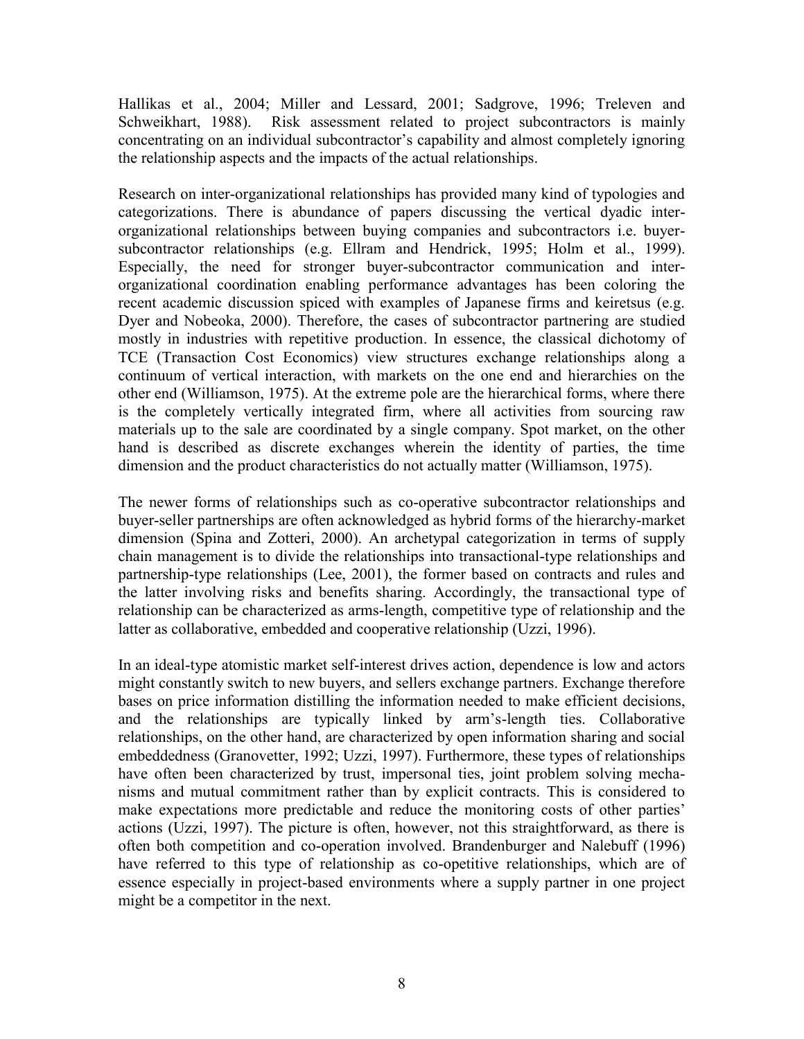Hallikas et al., 2004; Miller and Lessard, 2001; Sadgrove, 1996; Treleven and Schweikhart, 1988). Risk assessment related to project subcontractors is mainly concentrating on an individual subcontractor's capability and almost completely ignoring the relationship aspects and the impacts of the actual relationships.

Research on inter-organizational relationships has provided many kind of typologies and categorizations. There is abundance of papers discussing the vertical dyadic interorganizational relationships between buying companies and subcontractors i.e. buyersubcontractor relationships (e.g. Ellram and Hendrick, 1995; Holm et al., 1999). Especially, the need for stronger buyer-subcontractor communication and interorganizational coordination enabling performance advantages has been coloring the recent academic discussion spiced with examples of Japanese firms and keiretsus (e.g. Dyer and Nobeoka, 2000). Therefore, the cases of subcontractor partnering are studied mostly in industries with repetitive production. In essence, the classical dichotomy of TCE (Transaction Cost Economics) view structures exchange relationships along a continuum of vertical interaction, with markets on the one end and hierarchies on the other end (Williamson, 1975). At the extreme pole are the hierarchical forms, where there is the completely vertically integrated firm, where all activities from sourcing raw materials up to the sale are coordinated by a single company. Spot market, on the other hand is described as discrete exchanges wherein the identity of parties, the time dimension and the product characteristics do not actually matter (Williamson, 1975).

The newer forms of relationships such as co-operative subcontractor relationships and buyer-seller partnerships are often acknowledged as hybrid forms of the hierarchy-market dimension (Spina and Zotteri, 2000). An archetypal categorization in terms of supply chain management is to divide the relationships into transactional-type relationships and partnership-type relationships (Lee, 2001), the former based on contracts and rules and the latter involving risks and benefits sharing. Accordingly, the transactional type of relationship can be characterized as arms-length, competitive type of relationship and the latter as collaborative, embedded and cooperative relationship (Uzzi, 1996).

In an ideal-type atomistic market self-interest drives action, dependence is low and actors might constantly switch to new buyers, and sellers exchange partners. Exchange therefore bases on price information distilling the information needed to make efficient decisions, and the relationships are typically linked by arm's-length ties. Collaborative relationships, on the other hand, are characterized by open information sharing and social embeddedness (Granovetter, 1992; Uzzi, 1997). Furthermore, these types of relationships have often been characterized by trust, impersonal ties, joint problem solving mechanisms and mutual commitment rather than by explicit contracts. This is considered to make expectations more predictable and reduce the monitoring costs of other parties' actions (Uzzi, 1997). The picture is often, however, not this straightforward, as there is often both competition and co-operation involved. Brandenburger and Nalebuff (1996) have referred to this type of relationship as co-opetitive relationships, which are of essence especially in project-based environments where a supply partner in one project might be a competitor in the next.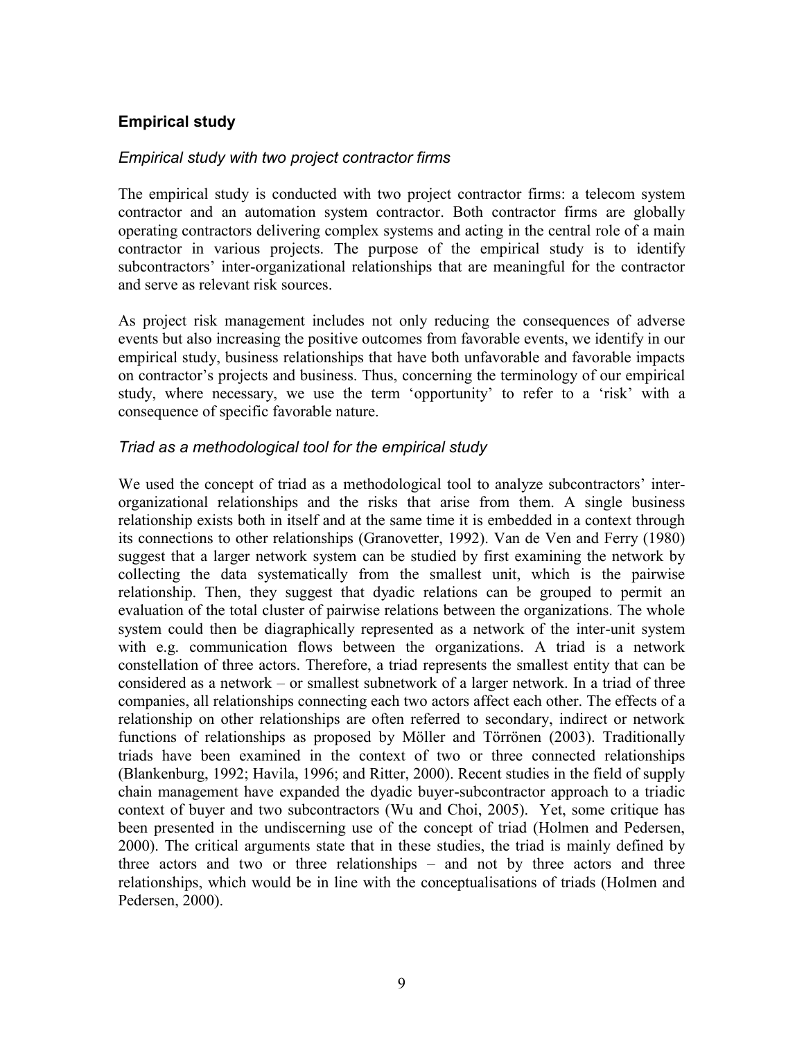### **Empirical study**

#### *Empirical study with two project contractor firms*

The empirical study is conducted with two project contractor firms: a telecom system contractor and an automation system contractor. Both contractor firms are globally operating contractors delivering complex systems and acting in the central role of a main contractor in various projects. The purpose of the empirical study is to identify subcontractors' inter-organizational relationships that are meaningful for the contractor and serve as relevant risk sources.

As project risk management includes not only reducing the consequences of adverse events but also increasing the positive outcomes from favorable events, we identify in our empirical study, business relationships that have both unfavorable and favorable impacts on contractor's projects and business. Thus, concerning the terminology of our empirical study, where necessary, we use the term 'opportunity' to refer to a 'risk' with a consequence of specific favorable nature.

### *Triad as a methodological tool for the empirical study*

We used the concept of triad as a methodological tool to analyze subcontractors' interorganizational relationships and the risks that arise from them. A single business relationship exists both in itself and at the same time it is embedded in a context through its connections to other relationships (Granovetter, 1992). Van de Ven and Ferry (1980) suggest that a larger network system can be studied by first examining the network by collecting the data systematically from the smallest unit, which is the pairwise relationship. Then, they suggest that dyadic relations can be grouped to permit an evaluation of the total cluster of pairwise relations between the organizations. The whole system could then be diagraphically represented as a network of the inter-unit system with e.g. communication flows between the organizations. A triad is a network constellation of three actors. Therefore, a triad represents the smallest entity that can be considered as a network – or smallest subnetwork of a larger network. In a triad of three companies, all relationships connecting each two actors affect each other. The effects of a relationship on other relationships are often referred to secondary, indirect or network functions of relationships as proposed by Möller and Törrönen (2003). Traditionally triads have been examined in the context of two or three connected relationships (Blankenburg, 1992; Havila, 1996; and Ritter, 2000). Recent studies in the field of supply chain management have expanded the dyadic buyer-subcontractor approach to a triadic context of buyer and two subcontractors (Wu and Choi, 2005). Yet, some critique has been presented in the undiscerning use of the concept of triad (Holmen and Pedersen, 2000). The critical arguments state that in these studies, the triad is mainly defined by three actors and two or three relationships – and not by three actors and three relationships, which would be in line with the conceptualisations of triads (Holmen and Pedersen, 2000).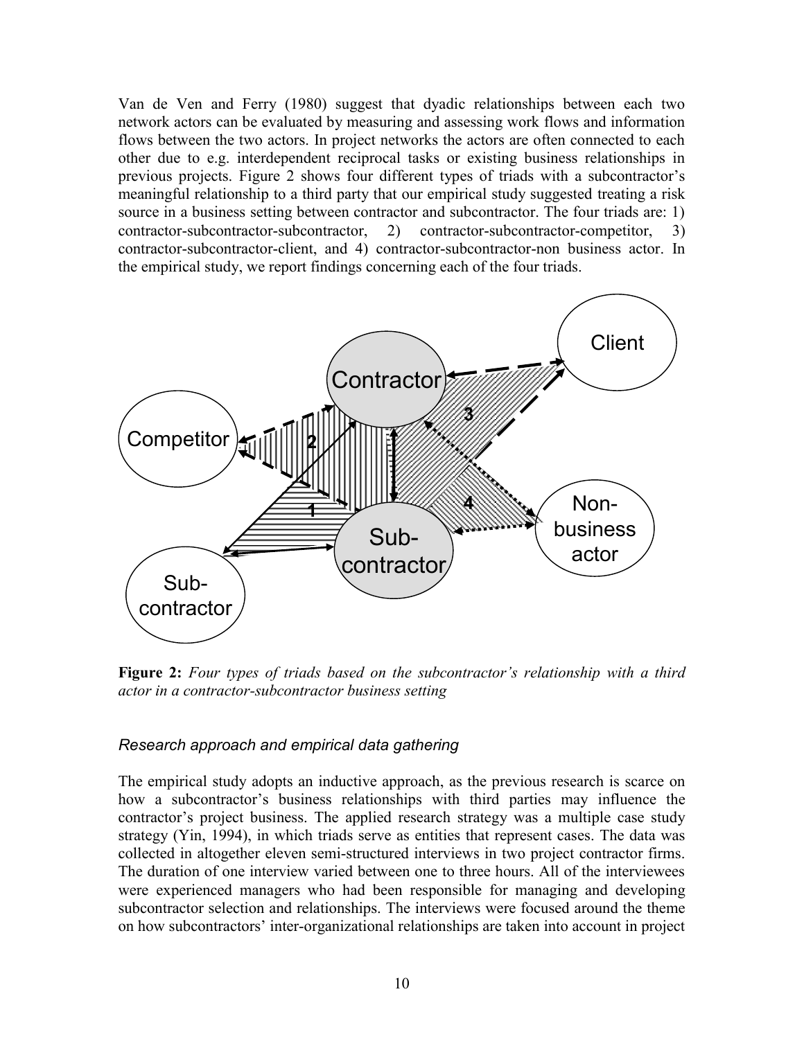Van de Ven and Ferry (1980) suggest that dyadic relationships between each two network actors can be evaluated by measuring and assessing work flows and information flows between the two actors. In project networks the actors are often connected to each other due to e.g. interdependent reciprocal tasks or existing business relationships in previous projects. Figure 2 shows four different types of triads with a subcontractor's meaningful relationship to a third party that our empirical study suggested treating a risk source in a business setting between contractor and subcontractor. The four triads are: 1) contractor-subcontractor-subcontractor, 2) contractor-subcontractor-competitor, 3) contractor-subcontractor-client, and 4) contractor-subcontractor-non business actor. In the empirical study, we report findings concerning each of the four triads.



**Figure 2:** *Four types of triads based on the subcontractor's relationship with a third actor in a contractor-subcontractor business setting* 

### *Research approach and empirical data gathering*

The empirical study adopts an inductive approach, as the previous research is scarce on how a subcontractor's business relationships with third parties may influence the contractor's project business. The applied research strategy was a multiple case study strategy (Yin, 1994), in which triads serve as entities that represent cases. The data was collected in altogether eleven semi-structured interviews in two project contractor firms. The duration of one interview varied between one to three hours. All of the interviewees were experienced managers who had been responsible for managing and developing subcontractor selection and relationships. The interviews were focused around the theme on how subcontractors' inter-organizational relationships are taken into account in project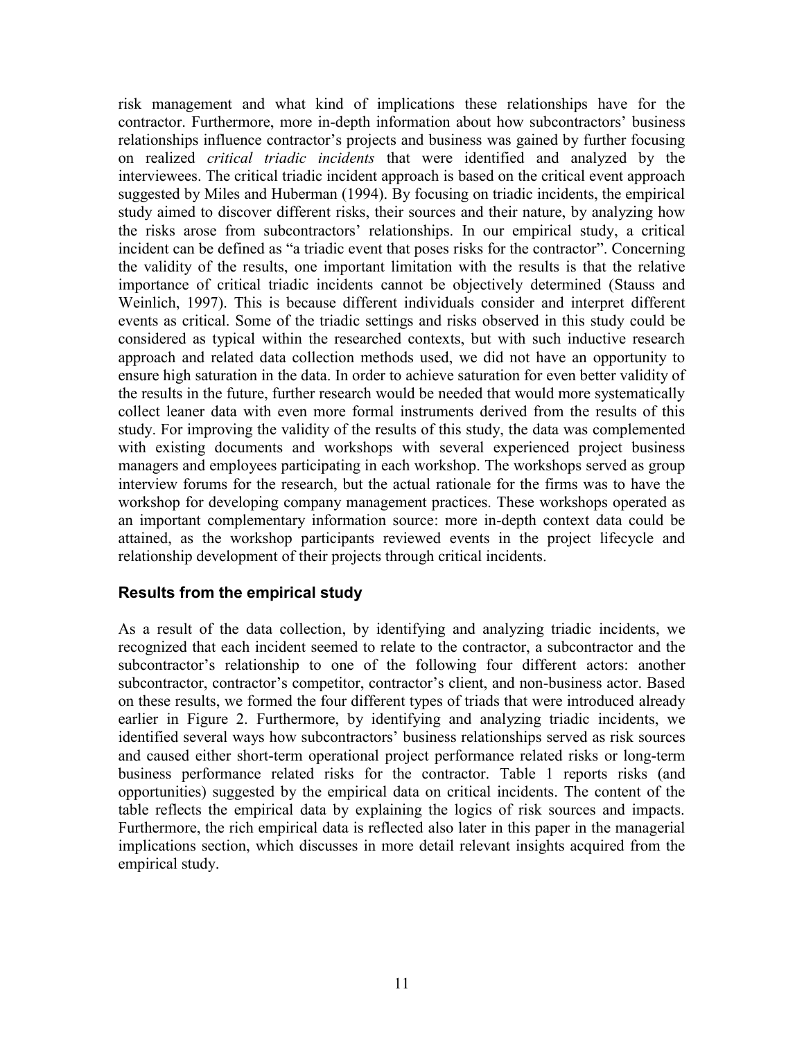risk management and what kind of implications these relationships have for the contractor. Furthermore, more in-depth information about how subcontractors' business relationships influence contractor's projects and business was gained by further focusing on realized *critical triadic incidents* that were identified and analyzed by the interviewees. The critical triadic incident approach is based on the critical event approach suggested by Miles and Huberman (1994). By focusing on triadic incidents, the empirical study aimed to discover different risks, their sources and their nature, by analyzing how the risks arose from subcontractors' relationships. In our empirical study, a critical incident can be defined as "a triadic event that poses risks for the contractor". Concerning the validity of the results, one important limitation with the results is that the relative importance of critical triadic incidents cannot be objectively determined (Stauss and Weinlich, 1997). This is because different individuals consider and interpret different events as critical. Some of the triadic settings and risks observed in this study could be considered as typical within the researched contexts, but with such inductive research approach and related data collection methods used, we did not have an opportunity to ensure high saturation in the data. In order to achieve saturation for even better validity of the results in the future, further research would be needed that would more systematically collect leaner data with even more formal instruments derived from the results of this study. For improving the validity of the results of this study, the data was complemented with existing documents and workshops with several experienced project business managers and employees participating in each workshop. The workshops served as group interview forums for the research, but the actual rationale for the firms was to have the workshop for developing company management practices. These workshops operated as an important complementary information source: more in-depth context data could be attained, as the workshop participants reviewed events in the project lifecycle and relationship development of their projects through critical incidents.

### **Results from the empirical study**

As a result of the data collection, by identifying and analyzing triadic incidents, we recognized that each incident seemed to relate to the contractor, a subcontractor and the subcontractor's relationship to one of the following four different actors: another subcontractor, contractor's competitor, contractor's client, and non-business actor. Based on these results, we formed the four different types of triads that were introduced already earlier in Figure 2. Furthermore, by identifying and analyzing triadic incidents, we identified several ways how subcontractors' business relationships served as risk sources and caused either short-term operational project performance related risks or long-term business performance related risks for the contractor. Table 1 reports risks (and opportunities) suggested by the empirical data on critical incidents. The content of the table reflects the empirical data by explaining the logics of risk sources and impacts. Furthermore, the rich empirical data is reflected also later in this paper in the managerial implications section, which discusses in more detail relevant insights acquired from the empirical study.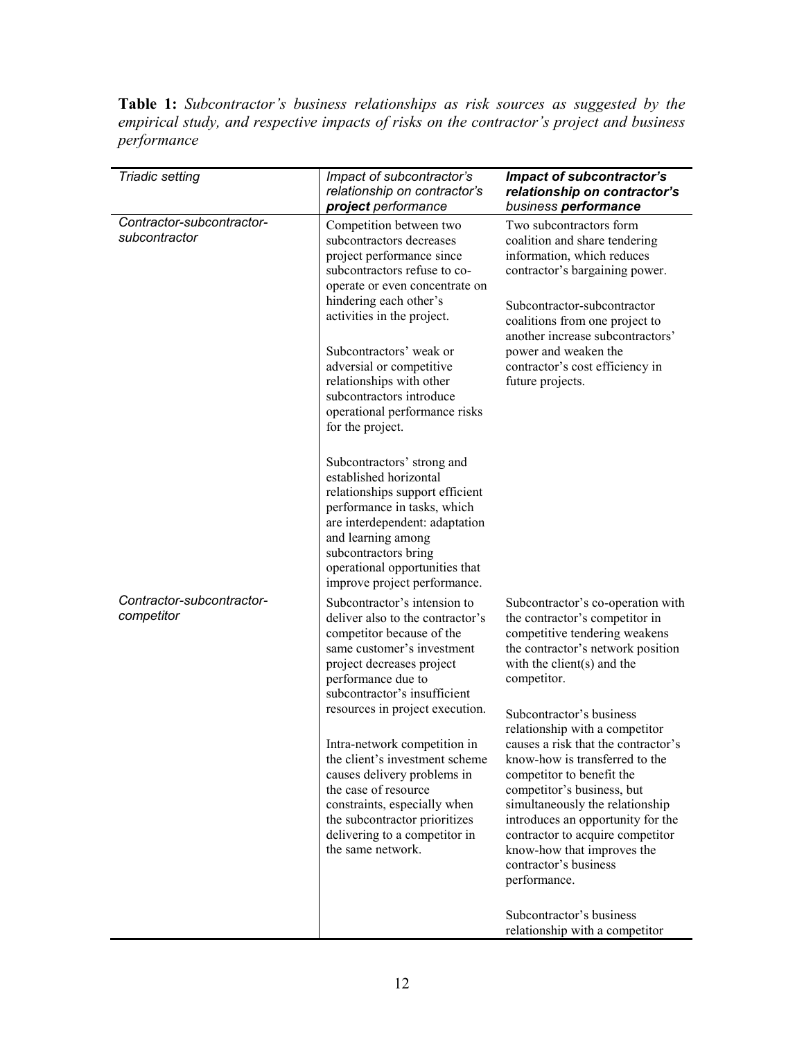**Table 1:** *Subcontractor's business relationships as risk sources as suggested by the empirical study, and respective impacts of risks on the contractor's project and business performance*

| Triadic setting                            | Impact of subcontractor's<br>relationship on contractor's<br>project performance                                                                                                                                                                                                | Impact of subcontractor's<br>relationship on contractor's<br>business performance                                                                                                                                                                                                                                                                                                 |
|--------------------------------------------|---------------------------------------------------------------------------------------------------------------------------------------------------------------------------------------------------------------------------------------------------------------------------------|-----------------------------------------------------------------------------------------------------------------------------------------------------------------------------------------------------------------------------------------------------------------------------------------------------------------------------------------------------------------------------------|
| Contractor-subcontractor-<br>subcontractor | Competition between two<br>subcontractors decreases<br>project performance since<br>subcontractors refuse to co-<br>operate or even concentrate on<br>hindering each other's<br>activities in the project.                                                                      | Two subcontractors form<br>coalition and share tendering<br>information, which reduces<br>contractor's bargaining power.<br>Subcontractor-subcontractor<br>coalitions from one project to<br>another increase subcontractors'<br>power and weaken the<br>contractor's cost efficiency in<br>future projects.                                                                      |
|                                            | Subcontractors' weak or<br>adversial or competitive<br>relationships with other<br>subcontractors introduce<br>operational performance risks<br>for the project.                                                                                                                |                                                                                                                                                                                                                                                                                                                                                                                   |
|                                            | Subcontractors' strong and<br>established horizontal<br>relationships support efficient<br>performance in tasks, which<br>are interdependent: adaptation<br>and learning among<br>subcontractors bring<br>operational opportunities that<br>improve project performance.        |                                                                                                                                                                                                                                                                                                                                                                                   |
| Contractor-subcontractor-<br>competitor    | Subcontractor's intension to<br>deliver also to the contractor's<br>competitor because of the<br>same customer's investment<br>project decreases project<br>performance due to<br>subcontractor's insufficient                                                                  | Subcontractor's co-operation with<br>the contractor's competitor in<br>competitive tendering weakens<br>the contractor's network position<br>with the client(s) and the<br>competitor.                                                                                                                                                                                            |
|                                            | resources in project execution.<br>Intra-network competition in<br>the client's investment scheme<br>causes delivery problems in<br>the case of resource<br>constraints, especially when<br>the subcontractor prioritizes<br>delivering to a competitor in<br>the same network. | Subcontractor's business<br>relationship with a competitor<br>causes a risk that the contractor's<br>know-how is transferred to the<br>competitor to benefit the<br>competitor's business, but<br>simultaneously the relationship<br>introduces an opportunity for the<br>contractor to acquire competitor<br>know-how that improves the<br>contractor's business<br>performance. |
|                                            |                                                                                                                                                                                                                                                                                 | Subcontractor's business<br>relationship with a competitor                                                                                                                                                                                                                                                                                                                        |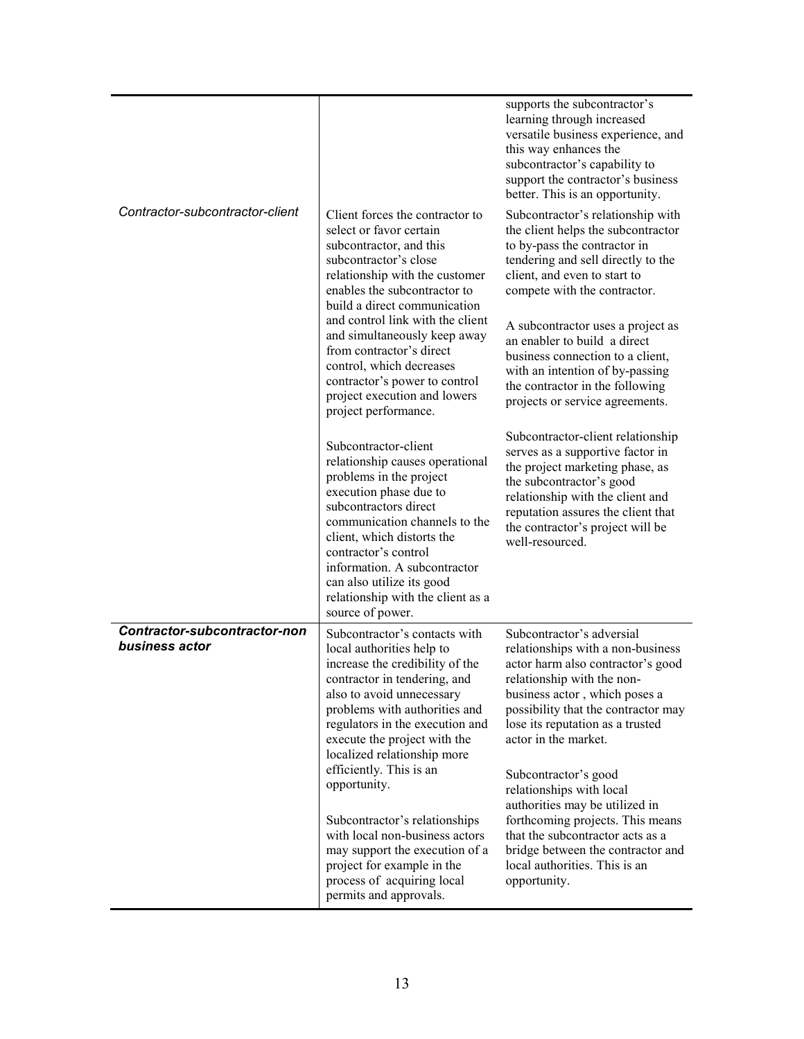|                                                |                                                                                                                                                                                                                                                                                                                                                                                                                                       | supports the subcontractor's<br>learning through increased<br>versatile business experience, and<br>this way enhances the<br>subcontractor's capability to<br>support the contractor's business<br>better. This is an opportunity.                                                                                                                                                                                              |
|------------------------------------------------|---------------------------------------------------------------------------------------------------------------------------------------------------------------------------------------------------------------------------------------------------------------------------------------------------------------------------------------------------------------------------------------------------------------------------------------|---------------------------------------------------------------------------------------------------------------------------------------------------------------------------------------------------------------------------------------------------------------------------------------------------------------------------------------------------------------------------------------------------------------------------------|
| Contractor-subcontractor-client                | Client forces the contractor to<br>select or favor certain<br>subcontractor, and this<br>subcontractor's close<br>relationship with the customer<br>enables the subcontractor to<br>build a direct communication<br>and control link with the client<br>and simultaneously keep away<br>from contractor's direct<br>control, which decreases<br>contractor's power to control<br>project execution and lowers<br>project performance. | Subcontractor's relationship with<br>the client helps the subcontractor<br>to by-pass the contractor in<br>tendering and sell directly to the<br>client, and even to start to<br>compete with the contractor.<br>A subcontractor uses a project as<br>an enabler to build a direct<br>business connection to a client,<br>with an intention of by-passing<br>the contractor in the following<br>projects or service agreements. |
|                                                | Subcontractor-client<br>relationship causes operational<br>problems in the project<br>execution phase due to<br>subcontractors direct<br>communication channels to the<br>client, which distorts the<br>contractor's control<br>information. A subcontractor<br>can also utilize its good<br>relationship with the client as a<br>source of power.                                                                                    | Subcontractor-client relationship<br>serves as a supportive factor in<br>the project marketing phase, as<br>the subcontractor's good<br>relationship with the client and<br>reputation assures the client that<br>the contractor's project will be<br>well-resourced.                                                                                                                                                           |
| Contractor-subcontractor-non<br>business actor | Subcontractor's contacts with<br>local authorities help to<br>increase the credibility of the<br>contractor in tendering, and<br>also to avoid unnecessary<br>problems with authorities and<br>regulators in the execution and<br>execute the project with the<br>localized relationship more<br>efficiently. This is an                                                                                                              | Subcontractor's adversial<br>relationships with a non-business<br>actor harm also contractor's good<br>relationship with the non-<br>business actor, which poses a<br>possibility that the contractor may<br>lose its reputation as a trusted<br>actor in the market.<br>Subcontractor's good                                                                                                                                   |
|                                                | opportunity.<br>Subcontractor's relationships<br>with local non-business actors<br>may support the execution of a<br>project for example in the<br>process of acquiring local<br>permits and approvals.                                                                                                                                                                                                                               | relationships with local<br>authorities may be utilized in<br>forthcoming projects. This means<br>that the subcontractor acts as a<br>bridge between the contractor and<br>local authorities. This is an<br>opportunity.                                                                                                                                                                                                        |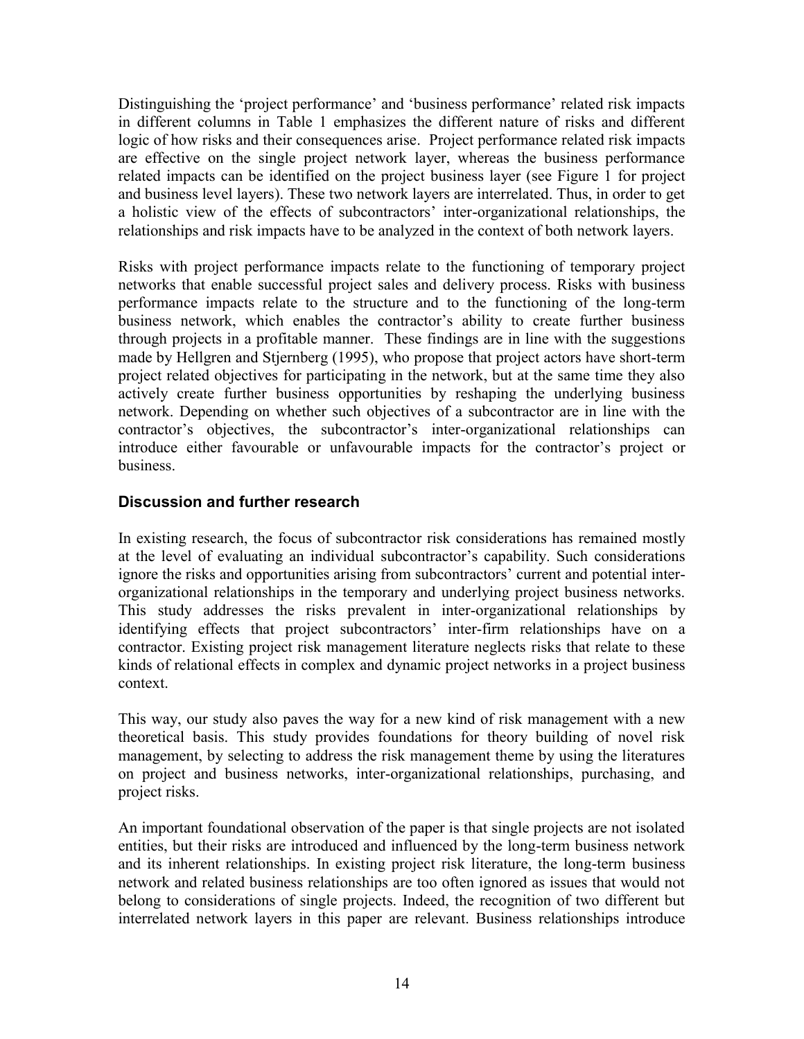Distinguishing the 'project performance' and 'business performance' related risk impacts in different columns in Table 1 emphasizes the different nature of risks and different logic of how risks and their consequences arise. Project performance related risk impacts are effective on the single project network layer, whereas the business performance related impacts can be identified on the project business layer (see Figure 1 for project and business level layers). These two network layers are interrelated. Thus, in order to get a holistic view of the effects of subcontractors' inter-organizational relationships, the relationships and risk impacts have to be analyzed in the context of both network layers.

Risks with project performance impacts relate to the functioning of temporary project networks that enable successful project sales and delivery process. Risks with business performance impacts relate to the structure and to the functioning of the long-term business network, which enables the contractor's ability to create further business through projects in a profitable manner. These findings are in line with the suggestions made by Hellgren and Stjernberg (1995), who propose that project actors have short-term project related objectives for participating in the network, but at the same time they also actively create further business opportunities by reshaping the underlying business network. Depending on whether such objectives of a subcontractor are in line with the contractor's objectives, the subcontractor's inter-organizational relationships can introduce either favourable or unfavourable impacts for the contractor's project or business.

### **Discussion and further research**

In existing research, the focus of subcontractor risk considerations has remained mostly at the level of evaluating an individual subcontractor's capability. Such considerations ignore the risks and opportunities arising from subcontractors' current and potential interorganizational relationships in the temporary and underlying project business networks. This study addresses the risks prevalent in inter-organizational relationships by identifying effects that project subcontractors' inter-firm relationships have on a contractor. Existing project risk management literature neglects risks that relate to these kinds of relational effects in complex and dynamic project networks in a project business context.

This way, our study also paves the way for a new kind of risk management with a new theoretical basis. This study provides foundations for theory building of novel risk management, by selecting to address the risk management theme by using the literatures on project and business networks, inter-organizational relationships, purchasing, and project risks.

An important foundational observation of the paper is that single projects are not isolated entities, but their risks are introduced and influenced by the long-term business network and its inherent relationships. In existing project risk literature, the long-term business network and related business relationships are too often ignored as issues that would not belong to considerations of single projects. Indeed, the recognition of two different but interrelated network layers in this paper are relevant. Business relationships introduce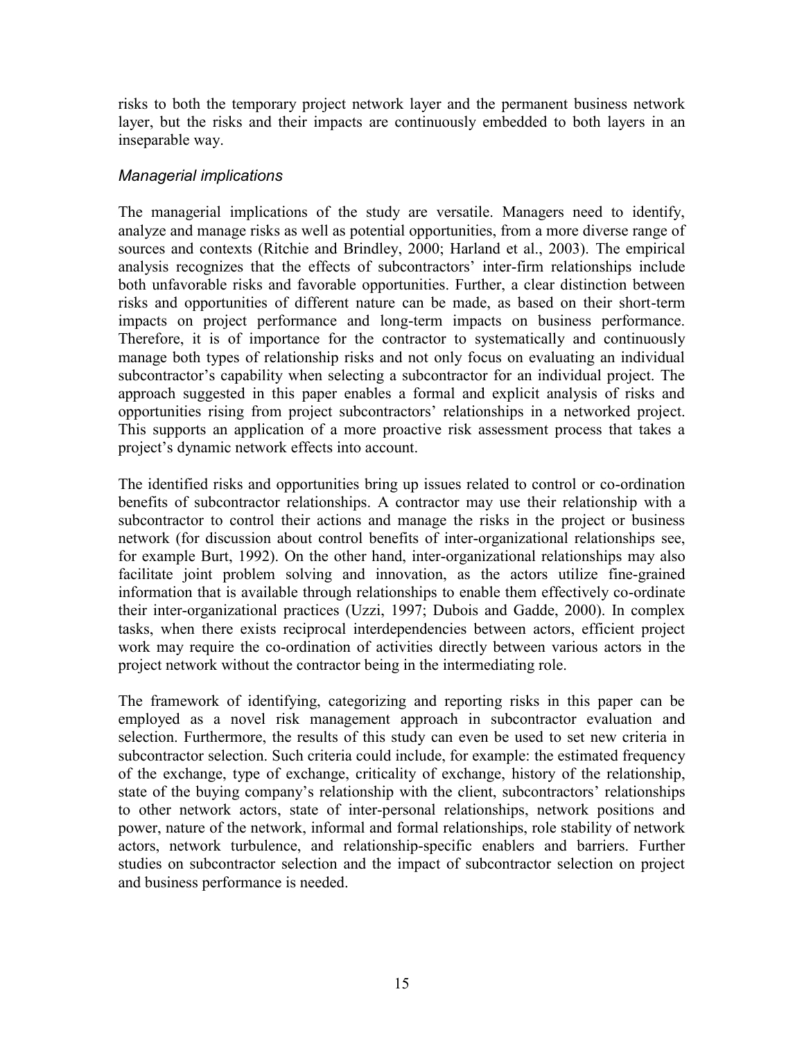risks to both the temporary project network layer and the permanent business network layer, but the risks and their impacts are continuously embedded to both layers in an inseparable way.

### *Managerial implications*

The managerial implications of the study are versatile. Managers need to identify, analyze and manage risks as well as potential opportunities, from a more diverse range of sources and contexts (Ritchie and Brindley, 2000; Harland et al., 2003). The empirical analysis recognizes that the effects of subcontractors' inter-firm relationships include both unfavorable risks and favorable opportunities. Further, a clear distinction between risks and opportunities of different nature can be made, as based on their short-term impacts on project performance and long-term impacts on business performance. Therefore, it is of importance for the contractor to systematically and continuously manage both types of relationship risks and not only focus on evaluating an individual subcontractor's capability when selecting a subcontractor for an individual project. The approach suggested in this paper enables a formal and explicit analysis of risks and opportunities rising from project subcontractors' relationships in a networked project. This supports an application of a more proactive risk assessment process that takes a project's dynamic network effects into account.

The identified risks and opportunities bring up issues related to control or co-ordination benefits of subcontractor relationships. A contractor may use their relationship with a subcontractor to control their actions and manage the risks in the project or business network (for discussion about control benefits of inter-organizational relationships see, for example Burt, 1992). On the other hand, inter-organizational relationships may also facilitate joint problem solving and innovation, as the actors utilize fine-grained information that is available through relationships to enable them effectively co-ordinate their inter-organizational practices (Uzzi, 1997; Dubois and Gadde, 2000). In complex tasks, when there exists reciprocal interdependencies between actors, efficient project work may require the co-ordination of activities directly between various actors in the project network without the contractor being in the intermediating role.

The framework of identifying, categorizing and reporting risks in this paper can be employed as a novel risk management approach in subcontractor evaluation and selection. Furthermore, the results of this study can even be used to set new criteria in subcontractor selection. Such criteria could include, for example: the estimated frequency of the exchange, type of exchange, criticality of exchange, history of the relationship, state of the buying company's relationship with the client, subcontractors' relationships to other network actors, state of inter-personal relationships, network positions and power, nature of the network, informal and formal relationships, role stability of network actors, network turbulence, and relationship-specific enablers and barriers. Further studies on subcontractor selection and the impact of subcontractor selection on project and business performance is needed.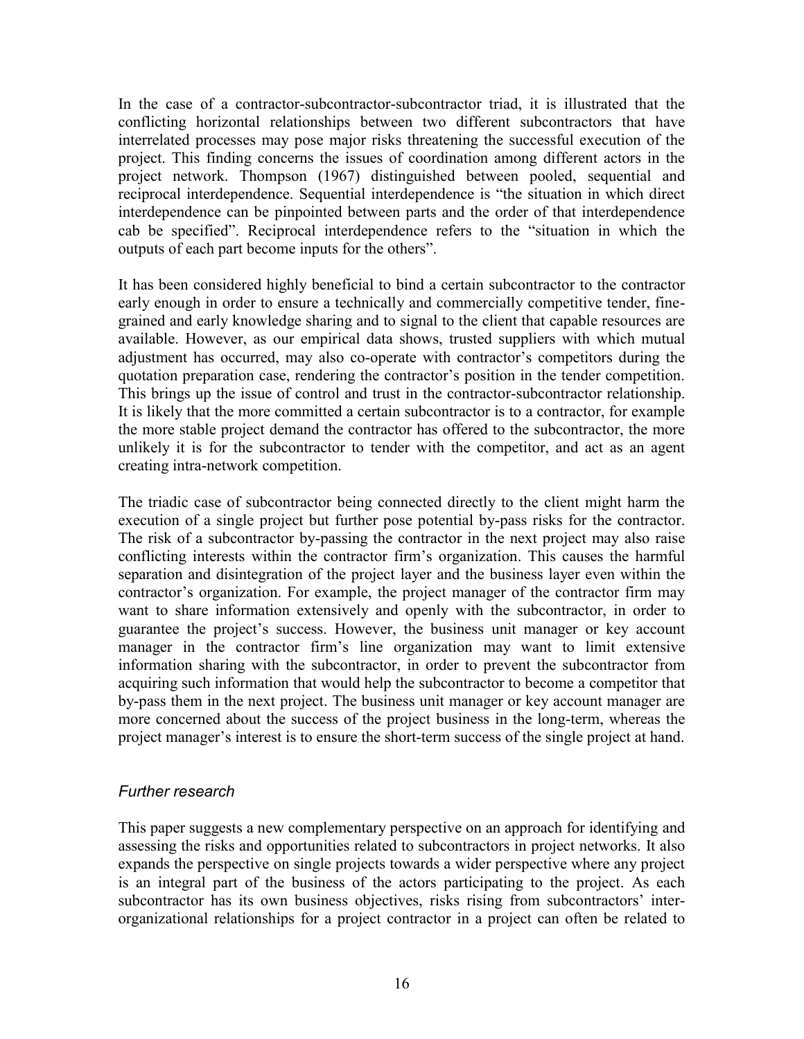In the case of a contractor-subcontractor-subcontractor triad, it is illustrated that the conflicting horizontal relationships between two different subcontractors that have interrelated processes may pose major risks threatening the successful execution of the project. This finding concerns the issues of coordination among different actors in the project network. Thompson (1967) distinguished between pooled, sequential and reciprocal interdependence. Sequential interdependence is "the situation in which direct interdependence can be pinpointed between parts and the order of that interdependence cab be specified". Reciprocal interdependence refers to the "situation in which the outputs of each part become inputs for the others".

It has been considered highly beneficial to bind a certain subcontractor to the contractor early enough in order to ensure a technically and commercially competitive tender, finegrained and early knowledge sharing and to signal to the client that capable resources are available. However, as our empirical data shows, trusted suppliers with which mutual adjustment has occurred, may also co-operate with contractor's competitors during the quotation preparation case, rendering the contractor's position in the tender competition. This brings up the issue of control and trust in the contractor-subcontractor relationship. It is likely that the more committed a certain subcontractor is to a contractor, for example the more stable project demand the contractor has offered to the subcontractor, the more unlikely it is for the subcontractor to tender with the competitor, and act as an agent creating intra-network competition.

The triadic case of subcontractor being connected directly to the client might harm the execution of a single project but further pose potential by-pass risks for the contractor. The risk of a subcontractor by-passing the contractor in the next project may also raise conflicting interests within the contractor firm's organization. This causes the harmful separation and disintegration of the project layer and the business layer even within the contractor's organization. For example, the project manager of the contractor firm may want to share information extensively and openly with the subcontractor, in order to guarantee the project's success. However, the business unit manager or key account manager in the contractor firm's line organization may want to limit extensive information sharing with the subcontractor, in order to prevent the subcontractor from acquiring such information that would help the subcontractor to become a competitor that by-pass them in the next project. The business unit manager or key account manager are more concerned about the success of the project business in the long-term, whereas the project manager's interest is to ensure the short-term success of the single project at hand.

### *Further research*

This paper suggests a new complementary perspective on an approach for identifying and assessing the risks and opportunities related to subcontractors in project networks. It also expands the perspective on single projects towards a wider perspective where any project is an integral part of the business of the actors participating to the project. As each subcontractor has its own business objectives, risks rising from subcontractors' interorganizational relationships for a project contractor in a project can often be related to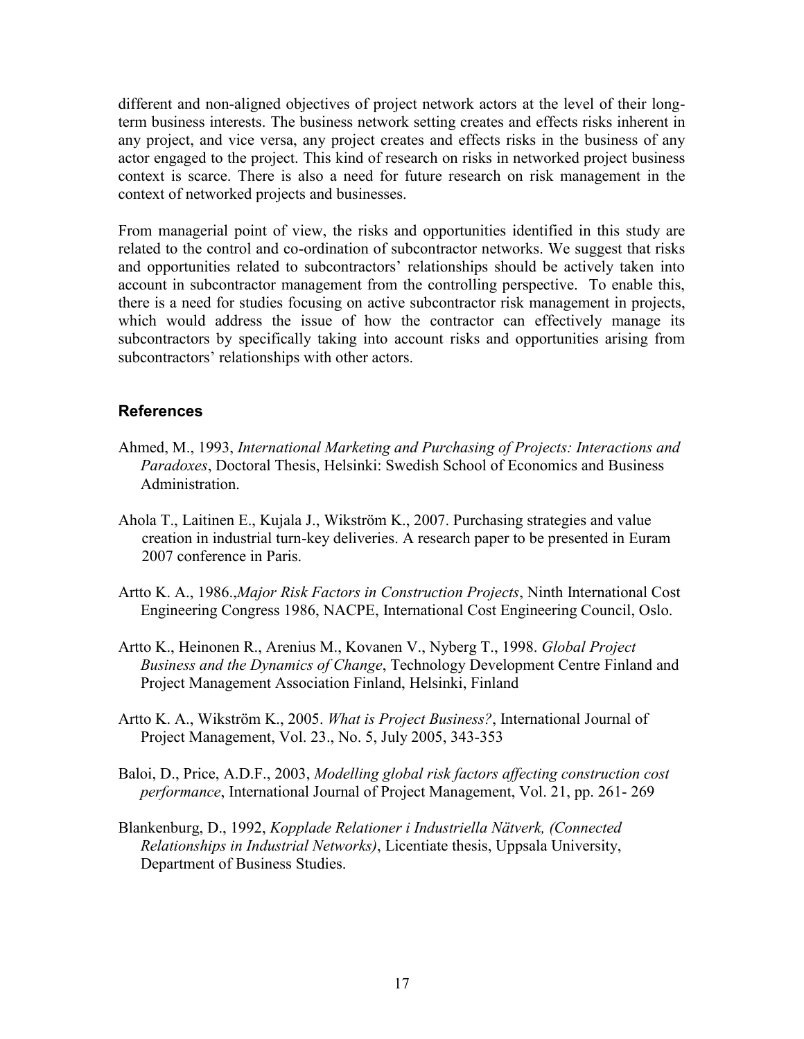different and non-aligned objectives of project network actors at the level of their longterm business interests. The business network setting creates and effects risks inherent in any project, and vice versa, any project creates and effects risks in the business of any actor engaged to the project. This kind of research on risks in networked project business context is scarce. There is also a need for future research on risk management in the context of networked projects and businesses.

From managerial point of view, the risks and opportunities identified in this study are related to the control and co-ordination of subcontractor networks. We suggest that risks and opportunities related to subcontractors' relationships should be actively taken into account in subcontractor management from the controlling perspective. To enable this, there is a need for studies focusing on active subcontractor risk management in projects, which would address the issue of how the contractor can effectively manage its subcontractors by specifically taking into account risks and opportunities arising from subcontractors' relationships with other actors.

### **References**

- Ahmed, M., 1993, *International Marketing and Purchasing of Projects: Interactions and Paradoxes*, Doctoral Thesis, Helsinki: Swedish School of Economics and Business Administration.
- Ahola T., Laitinen E., Kujala J., Wikström K., 2007. Purchasing strategies and value creation in industrial turn-key deliveries. A research paper to be presented in Euram 2007 conference in Paris.
- Artto K. A., 1986.,*Major Risk Factors in Construction Projects*, Ninth International Cost Engineering Congress 1986, NACPE, International Cost Engineering Council, Oslo.
- Artto K., Heinonen R., Arenius M., Kovanen V., Nyberg T., 1998. *Global Project Business and the Dynamics of Change*, Technology Development Centre Finland and Project Management Association Finland, Helsinki, Finland
- Artto K. A., Wikström K., 2005. *What is Project Business?*, International Journal of Project Management, Vol. 23., No. 5, July 2005, 343-353
- Baloi, D., Price, A.D.F., 2003, *Modelling global risk factors affecting construction cost performance*, International Journal of Project Management, Vol. 21, pp. 261- 269
- Blankenburg, D., 1992, *Kopplade Relationer i Industriella Nätverk, (Connected Relationships in Industrial Networks)*, Licentiate thesis, Uppsala University, Department of Business Studies.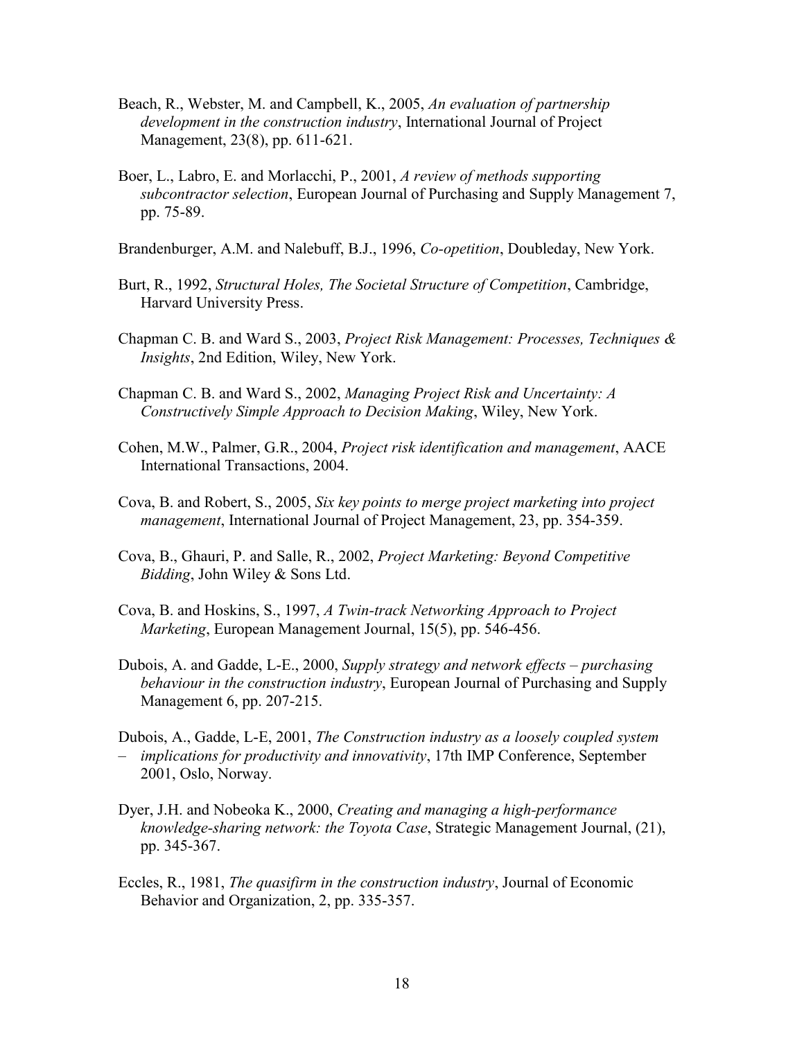- Beach, R., Webster, M. and Campbell, K., 2005, *An evaluation of partnership development in the construction industry*, International Journal of Project Management, 23(8), pp. 611-621.
- Boer, L., Labro, E. and Morlacchi, P., 2001, *A review of methods supporting subcontractor selection*, European Journal of Purchasing and Supply Management 7, pp. 75-89.

Brandenburger, A.M. and Nalebuff, B.J., 1996, *Co-opetition*, Doubleday, New York.

- Burt, R., 1992, *Structural Holes, The Societal Structure of Competition*, Cambridge, Harvard University Press.
- Chapman C. B. and Ward S., 2003, *Project Risk Management: Processes, Techniques & Insights*, 2nd Edition, Wiley, New York.
- Chapman C. B. and Ward S., 2002, *Managing Project Risk and Uncertainty: A Constructively Simple Approach to Decision Making*, Wiley, New York.
- Cohen, M.W., Palmer, G.R., 2004, *Project risk identification and management*, AACE International Transactions, 2004.
- Cova, B. and Robert, S., 2005, *Six key points to merge project marketing into project management*, International Journal of Project Management, 23, pp. 354-359.
- Cova, B., Ghauri, P. and Salle, R., 2002, *Project Marketing: Beyond Competitive Bidding*, John Wiley & Sons Ltd.
- Cova, B. and Hoskins, S., 1997, *A Twin-track Networking Approach to Project Marketing*, European Management Journal, 15(5), pp. 546-456.
- Dubois, A. and Gadde, L-E., 2000, *Supply strategy and network effects – purchasing behaviour in the construction industry*, European Journal of Purchasing and Supply Management 6, pp. 207-215.
- Dubois, A., Gadde, L-E, 2001, *The Construction industry as a loosely coupled system – implications for productivity and innovativity*, 17th IMP Conference, September 2001, Oslo, Norway.
- Dyer, J.H. and Nobeoka K., 2000, *Creating and managing a high-performance knowledge-sharing network: the Toyota Case*, Strategic Management Journal, (21), pp. 345-367.
- Eccles, R., 1981, *The quasifirm in the construction industry*, Journal of Economic Behavior and Organization, 2, pp. 335-357.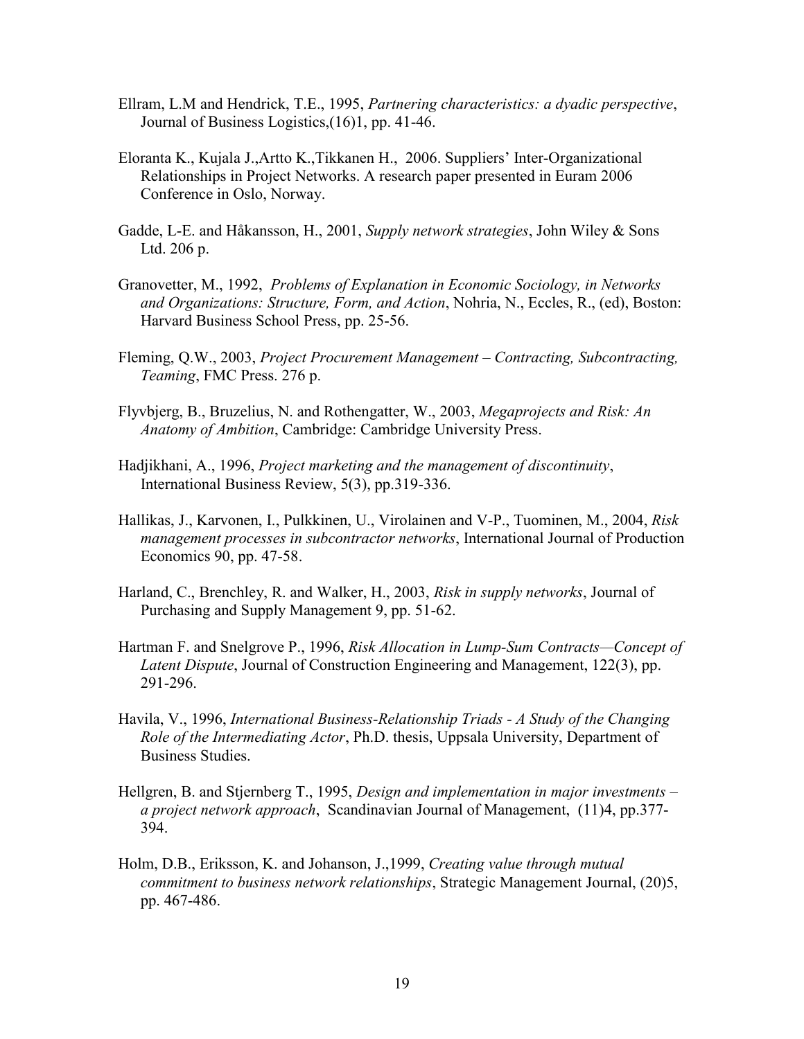- Ellram, L.M and Hendrick, T.E., 1995, *Partnering characteristics: a dyadic perspective*, Journal of Business Logistics,(16)1, pp. 41-46.
- Eloranta K., Kujala J.,Artto K.,Tikkanen H., 2006. Suppliers' Inter-Organizational Relationships in Project Networks. A research paper presented in Euram 2006 Conference in Oslo, Norway.
- Gadde, L-E. and Håkansson, H., 2001, *Supply network strategies*, John Wiley & Sons Ltd. 206 p.
- Granovetter, M., 1992, *Problems of Explanation in Economic Sociology, in Networks and Organizations: Structure, Form, and Action*, Nohria, N., Eccles, R., (ed), Boston: Harvard Business School Press, pp. 25-56.
- Fleming, Q.W., 2003, *Project Procurement Management – Contracting, Subcontracting, Teaming*, FMC Press. 276 p.
- Flyvbjerg, B., Bruzelius, N. and Rothengatter, W., 2003, *Megaprojects and Risk: An Anatomy of Ambition*, Cambridge: Cambridge University Press.
- Hadjikhani, A., 1996, *Project marketing and the management of discontinuity*, International Business Review, 5(3), pp.319-336.
- Hallikas, J., Karvonen, I., Pulkkinen, U., Virolainen and V-P., Tuominen, M., 2004, *Risk management processes in subcontractor networks*, International Journal of Production Economics 90, pp. 47-58.
- Harland, C., Brenchley, R. and Walker, H., 2003, *Risk in supply networks*, Journal of Purchasing and Supply Management 9, pp. 51-62.
- Hartman F. and Snelgrove P., 1996, *Risk Allocation in Lump-Sum Contracts—Concept of Latent Dispute*, Journal of Construction Engineering and Management, 122(3), pp. 291-296.
- Havila, V., 1996, *International Business-Relationship Triads - A Study of the Changing Role of the Intermediating Actor*, Ph.D. thesis, Uppsala University, Department of Business Studies.
- Hellgren, B. and Stjernberg T., 1995, *Design and implementation in major investments – a project network approach*, Scandinavian Journal of Management, (11)4, pp.377- 394.
- Holm, D.B., Eriksson, K. and Johanson, J.,1999, *Creating value through mutual commitment to business network relationships*, Strategic Management Journal, (20)5, pp. 467-486.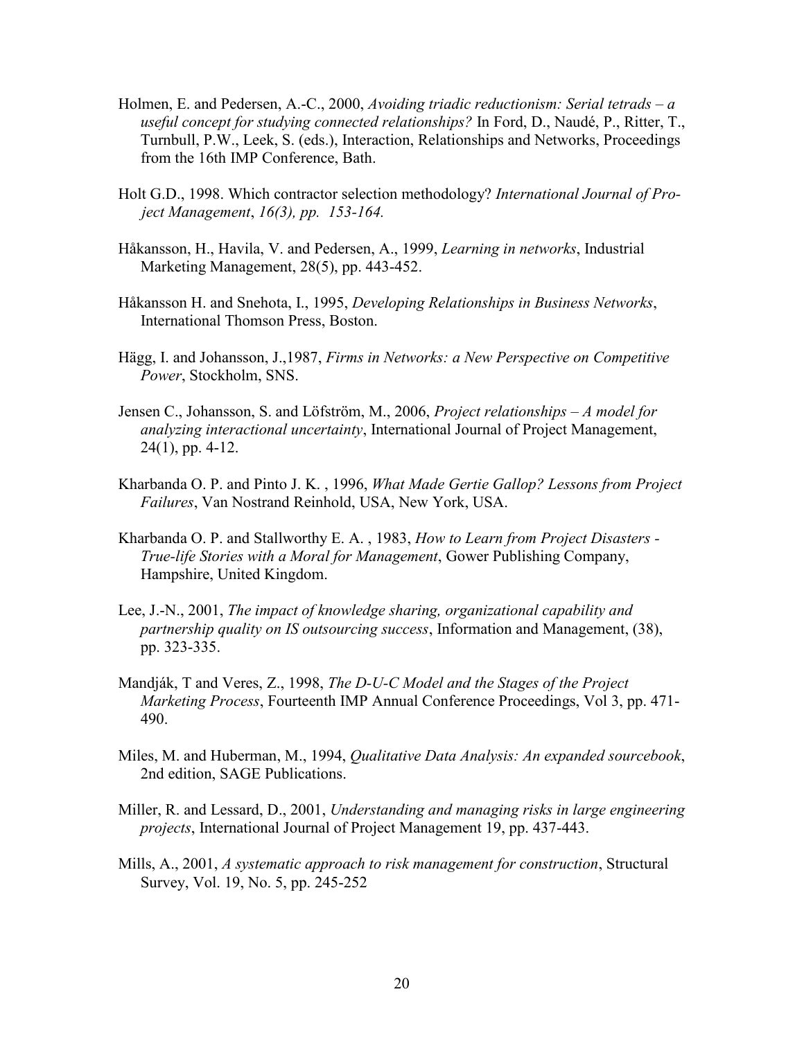- Holmen, E. and Pedersen, A.-C., 2000, *Avoiding triadic reductionism: Serial tetrads – a useful concept for studying connected relationships?* In Ford, D., Naudé, P., Ritter, T., Turnbull, P.W., Leek, S. (eds.), Interaction, Relationships and Networks, Proceedings from the 16th IMP Conference, Bath.
- Holt G.D., 1998. Which contractor selection methodology? *International Journal of Project Management*, *16(3), pp. 153-164.*
- Håkansson, H., Havila, V. and Pedersen, A., 1999, *Learning in networks*, Industrial Marketing Management, 28(5), pp. 443-452.
- Håkansson H. and Snehota, I., 1995, *Developing Relationships in Business Networks*, International Thomson Press, Boston.
- Hägg, I. and Johansson, J.,1987, *Firms in Networks: a New Perspective on Competitive Power*, Stockholm, SNS.
- Jensen C., Johansson, S. and Löfström, M., 2006, *Project relationships – A model for analyzing interactional uncertainty*, International Journal of Project Management, 24(1), pp. 4-12.
- Kharbanda O. P. and Pinto J. K. , 1996, *What Made Gertie Gallop? Lessons from Project Failures*, Van Nostrand Reinhold, USA, New York, USA.
- Kharbanda O. P. and Stallworthy E. A. , 1983, *How to Learn from Project Disasters - True-life Stories with a Moral for Management*, Gower Publishing Company, Hampshire, United Kingdom.
- Lee, J.-N., 2001, *The impact of knowledge sharing, organizational capability and partnership quality on IS outsourcing success*, Information and Management, (38), pp. 323-335.
- Mandják, T and Veres, Z., 1998, *The D-U-C Model and the Stages of the Project Marketing Process*, Fourteenth IMP Annual Conference Proceedings, Vol 3, pp. 471- 490.
- Miles, M. and Huberman, M., 1994, *Qualitative Data Analysis: An expanded sourcebook*, 2nd edition, SAGE Publications.
- Miller, R. and Lessard, D., 2001, *Understanding and managing risks in large engineering projects*, International Journal of Project Management 19, pp. 437-443.
- Mills, A., 2001, *A systematic approach to risk management for construction*, Structural Survey, Vol. 19, No. 5, pp. 245-252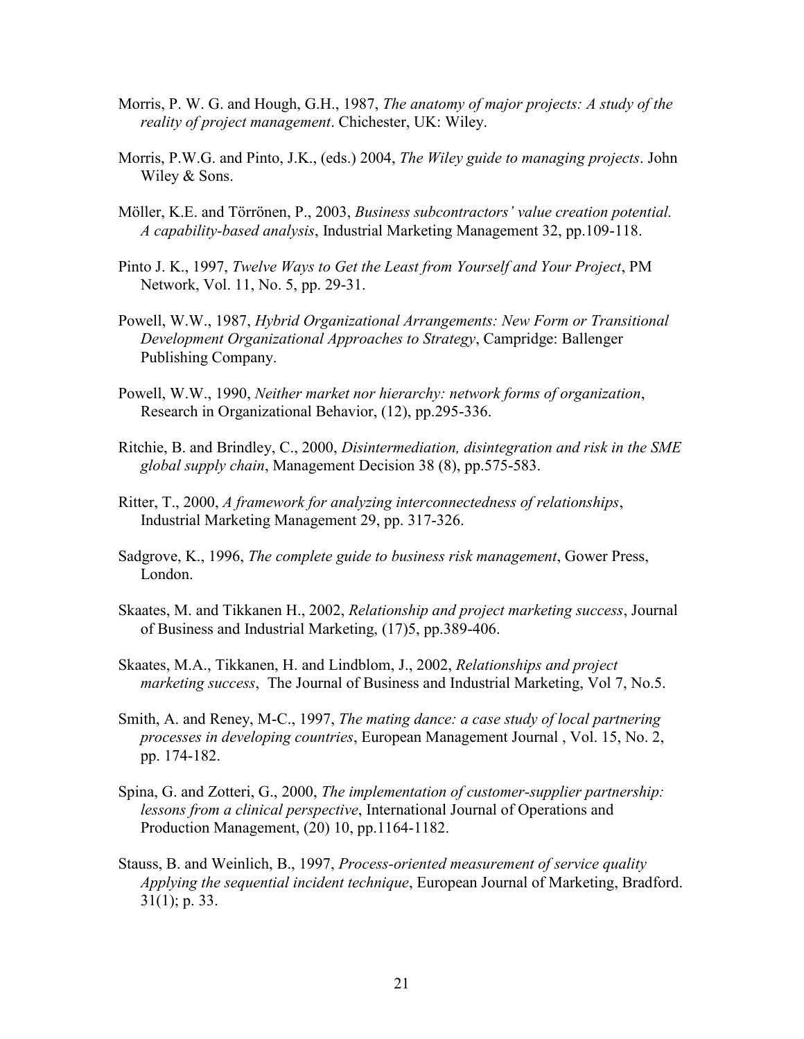- Morris, P. W. G. and Hough, G.H., 1987, *The anatomy of major projects: A study of the reality of project management*. Chichester, UK: Wiley.
- Morris, P.W.G. and Pinto, J.K., (eds.) 2004, *The Wiley guide to managing projects*. John Wiley & Sons.
- Möller, K.E. and Törrönen, P., 2003, *Business subcontractors' value creation potential. A capability-based analysis*, Industrial Marketing Management 32, pp.109-118.
- Pinto J. K., 1997, *Twelve Ways to Get the Least from Yourself and Your Project*, PM Network, Vol. 11, No. 5, pp. 29-31.
- Powell, W.W., 1987, *Hybrid Organizational Arrangements: New Form or Transitional Development Organizational Approaches to Strategy*, Campridge: Ballenger Publishing Company.
- Powell, W.W., 1990, *Neither market nor hierarchy: network forms of organization*, Research in Organizational Behavior, (12), pp.295-336.
- Ritchie, B. and Brindley, C., 2000, *Disintermediation, disintegration and risk in the SME global supply chain*, Management Decision 38 (8), pp.575-583.
- Ritter, T., 2000, *A framework for analyzing interconnectedness of relationships*, Industrial Marketing Management 29, pp. 317-326.
- Sadgrove, K., 1996, *The complete guide to business risk management*, Gower Press, London.
- Skaates, M. and Tikkanen H., 2002, *Relationship and project marketing success*, Journal of Business and Industrial Marketing, (17)5, pp.389-406.
- Skaates, M.A., Tikkanen, H. and Lindblom, J., 2002, *Relationships and project marketing success*, The Journal of Business and Industrial Marketing, Vol 7, No.5.
- Smith, A. and Reney, M-C., 1997, *The mating dance: a case study of local partnering processes in developing countries*, European Management Journal , Vol. 15, No. 2, pp. 174-182.
- Spina, G. and Zotteri, G., 2000, *The implementation of customer-supplier partnership: lessons from a clinical perspective*, International Journal of Operations and Production Management, (20) 10, pp.1164-1182.
- Stauss, B. and Weinlich, B., 1997, *Process-oriented measurement of service quality Applying the sequential incident technique*, European Journal of Marketing, Bradford. 31(1); p. 33.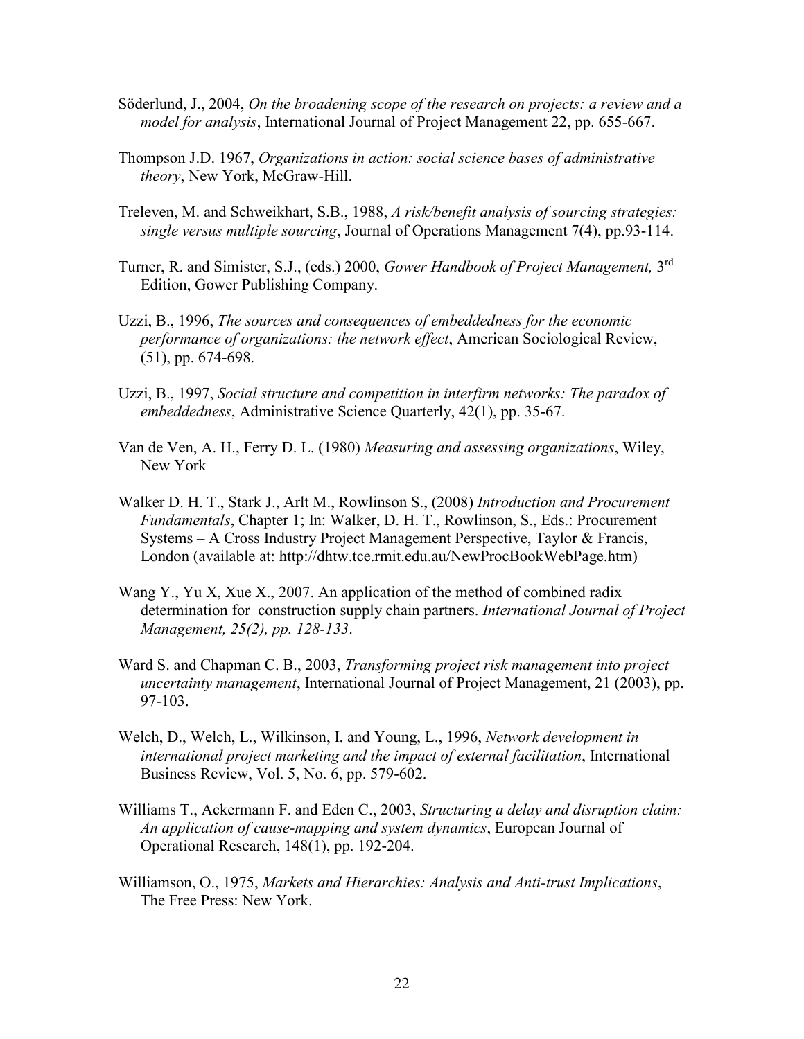- Söderlund, J., 2004, *On the broadening scope of the research on projects: a review and a model for analysis*, International Journal of Project Management 22, pp. 655-667.
- Thompson J.D. 1967, *Organizations in action: social science bases of administrative theory*, New York, McGraw-Hill.
- Treleven, M. and Schweikhart, S.B., 1988, *A risk/benefit analysis of sourcing strategies: single versus multiple sourcing*, Journal of Operations Management 7(4), pp.93-114.
- Turner, R. and Simister, S.J., (eds.) 2000, *Gower Handbook of Project Management,* 3 rd Edition, Gower Publishing Company.
- Uzzi, B., 1996, *The sources and consequences of embeddedness for the economic performance of organizations: the network effect*, American Sociological Review, (51), pp. 674-698.
- Uzzi, B., 1997, *Social structure and competition in interfirm networks: The paradox of embeddedness*, Administrative Science Quarterly, 42(1), pp. 35-67.
- Van de Ven, A. H., Ferry D. L. (1980) *Measuring and assessing organizations*, Wiley, New York
- Walker D. H. T., Stark J., Arlt M., Rowlinson S., (2008) *Introduction and Procurement Fundamentals*, Chapter 1; In: Walker, D. H. T., Rowlinson, S., Eds.: Procurement Systems – A Cross Industry Project Management Perspective, Taylor & Francis, London (available at: http://dhtw.tce.rmit.edu.au/NewProcBookWebPage.htm)
- Wang Y., Yu X, Xue X., 2007. An application of the method of combined radix determination for construction supply chain partners. *International Journal of Project Management, 25(2), pp. 128-133*.
- Ward S. and Chapman C. B., 2003, *Transforming project risk management into project uncertainty management*, International Journal of Project Management, 21 (2003), pp. 97-103.
- Welch, D., Welch, L., Wilkinson, I. and Young, L., 1996, *Network development in international project marketing and the impact of external facilitation*, International Business Review, Vol. 5, No. 6, pp. 579-602.
- Williams T., Ackermann F. and Eden C., 2003, *Structuring a delay and disruption claim: An application of cause-mapping and system dynamics*, European Journal of Operational Research, 148(1), pp. 192-204.
- Williamson, O., 1975, *Markets and Hierarchies: Analysis and Anti-trust Implications*, The Free Press: New York.